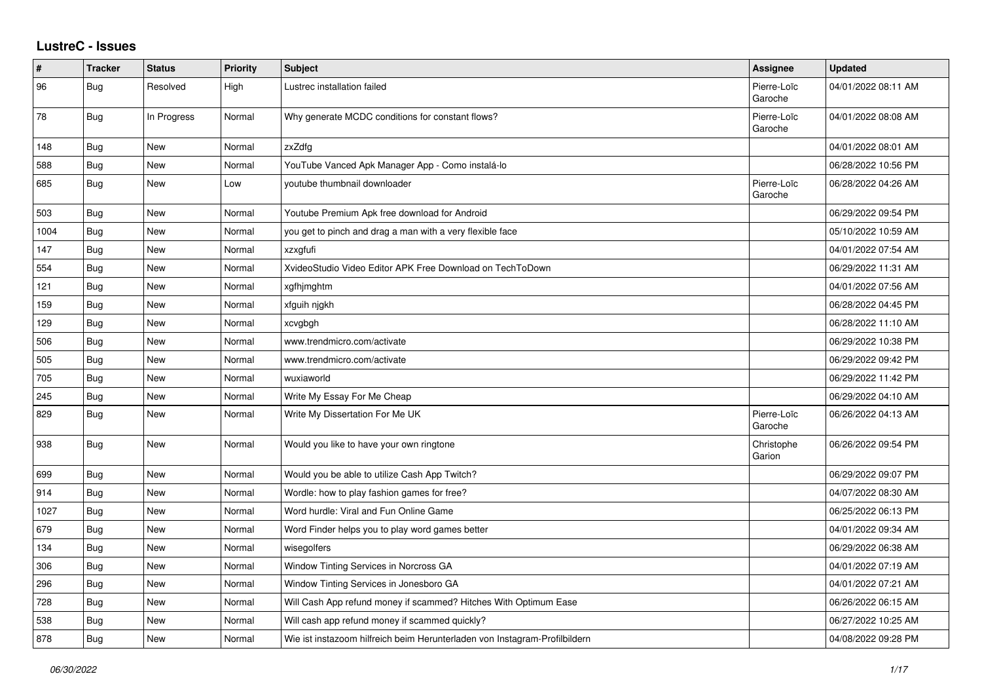## **LustreC - Issues**

| #    | <b>Tracker</b> | <b>Status</b> | <b>Priority</b> | <b>Subject</b>                                                             | <b>Assignee</b>        | <b>Updated</b>      |
|------|----------------|---------------|-----------------|----------------------------------------------------------------------------|------------------------|---------------------|
| 96   | <b>Bug</b>     | Resolved      | High            | Lustrec installation failed                                                | Pierre-Loïc<br>Garoche | 04/01/2022 08:11 AM |
| 78   | Bug            | In Progress   | Normal          | Why generate MCDC conditions for constant flows?                           | Pierre-Loïc<br>Garoche | 04/01/2022 08:08 AM |
| 148  | <b>Bug</b>     | New           | Normal          | zxZdfg                                                                     |                        | 04/01/2022 08:01 AM |
| 588  | Bug            | <b>New</b>    | Normal          | YouTube Vanced Apk Manager App - Como instalá-lo                           |                        | 06/28/2022 10:56 PM |
| 685  | <b>Bug</b>     | New           | Low             | voutube thumbnail downloader                                               | Pierre-Loïc<br>Garoche | 06/28/2022 04:26 AM |
| 503  | <b>Bug</b>     | New           | Normal          | Youtube Premium Apk free download for Android                              |                        | 06/29/2022 09:54 PM |
| 1004 | Bug            | New           | Normal          | you get to pinch and drag a man with a very flexible face                  |                        | 05/10/2022 10:59 AM |
| 147  | Bug            | New           | Normal          | xzxgfufi                                                                   |                        | 04/01/2022 07:54 AM |
| 554  | <b>Bug</b>     | New           | Normal          | XvideoStudio Video Editor APK Free Download on TechToDown                  |                        | 06/29/2022 11:31 AM |
| 121  | <b>Bug</b>     | New           | Normal          | xgfhjmghtm                                                                 |                        | 04/01/2022 07:56 AM |
| 159  | Bug            | <b>New</b>    | Normal          | xfguih njgkh                                                               |                        | 06/28/2022 04:45 PM |
| 129  | Bug            | New           | Normal          | xcvgbgh                                                                    |                        | 06/28/2022 11:10 AM |
| 506  | Bug            | New           | Normal          | www.trendmicro.com/activate                                                |                        | 06/29/2022 10:38 PM |
| 505  | Bug            | New           | Normal          | www.trendmicro.com/activate                                                |                        | 06/29/2022 09:42 PM |
| 705  | <b>Bug</b>     | New           | Normal          | wuxiaworld                                                                 |                        | 06/29/2022 11:42 PM |
| 245  | Bug            | New           | Normal          | Write My Essay For Me Cheap                                                |                        | 06/29/2022 04:10 AM |
| 829  | Bug            | New           | Normal          | Write My Dissertation For Me UK                                            | Pierre-Loïc<br>Garoche | 06/26/2022 04:13 AM |
| 938  | Bug            | New           | Normal          | Would you like to have your own ringtone                                   | Christophe<br>Garion   | 06/26/2022 09:54 PM |
| 699  | <b>Bug</b>     | New           | Normal          | Would you be able to utilize Cash App Twitch?                              |                        | 06/29/2022 09:07 PM |
| 914  | Bug            | <b>New</b>    | Normal          | Wordle: how to play fashion games for free?                                |                        | 04/07/2022 08:30 AM |
| 1027 | Bug            | New           | Normal          | Word hurdle: Viral and Fun Online Game                                     |                        | 06/25/2022 06:13 PM |
| 679  | Bug            | <b>New</b>    | Normal          | Word Finder helps you to play word games better                            |                        | 04/01/2022 09:34 AM |
| 134  | Bug            | <b>New</b>    | Normal          | wisegolfers                                                                |                        | 06/29/2022 06:38 AM |
| 306  | <b>Bug</b>     | New           | Normal          | Window Tinting Services in Norcross GA                                     |                        | 04/01/2022 07:19 AM |
| 296  | Bug            | New           | Normal          | Window Tinting Services in Jonesboro GA                                    |                        | 04/01/2022 07:21 AM |
| 728  | Bug            | <b>New</b>    | Normal          | Will Cash App refund money if scammed? Hitches With Optimum Ease           |                        | 06/26/2022 06:15 AM |
| 538  | Bug            | New           | Normal          | Will cash app refund money if scammed quickly?                             |                        | 06/27/2022 10:25 AM |
| 878  | <b>Bug</b>     | New           | Normal          | Wie ist instazoom hilfreich beim Herunterladen von Instagram-Profilbildern |                        | 04/08/2022 09:28 PM |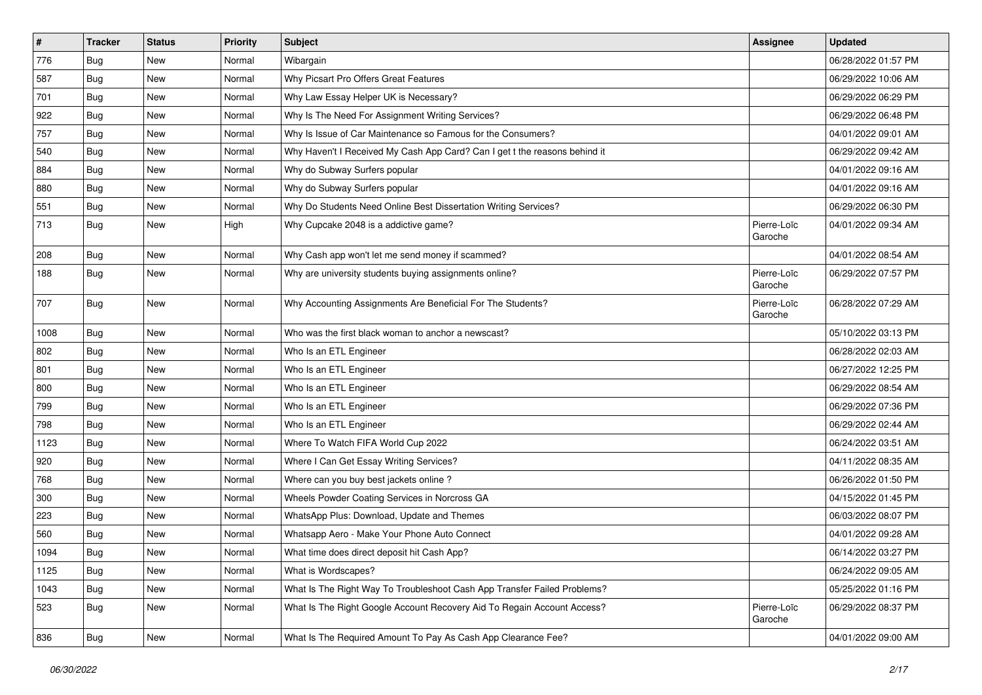| $\pmb{\#}$ | <b>Tracker</b> | <b>Status</b> | <b>Priority</b> | Subject                                                                    | Assignee               | <b>Updated</b>      |
|------------|----------------|---------------|-----------------|----------------------------------------------------------------------------|------------------------|---------------------|
| 776        | <b>Bug</b>     | New           | Normal          | Wibargain                                                                  |                        | 06/28/2022 01:57 PM |
| 587        | <b>Bug</b>     | <b>New</b>    | Normal          | Why Picsart Pro Offers Great Features                                      |                        | 06/29/2022 10:06 AM |
| 701        | Bug            | New           | Normal          | Why Law Essay Helper UK is Necessary?                                      |                        | 06/29/2022 06:29 PM |
| 922        | Bug            | <b>New</b>    | Normal          | Why Is The Need For Assignment Writing Services?                           |                        | 06/29/2022 06:48 PM |
| 757        | Bug            | <b>New</b>    | Normal          | Why Is Issue of Car Maintenance so Famous for the Consumers?               |                        | 04/01/2022 09:01 AM |
| 540        | <b>Bug</b>     | New           | Normal          | Why Haven't I Received My Cash App Card? Can I get t the reasons behind it |                        | 06/29/2022 09:42 AM |
| 884        | Bug            | <b>New</b>    | Normal          | Why do Subway Surfers popular                                              |                        | 04/01/2022 09:16 AM |
| 880        | Bug            | New           | Normal          | Why do Subway Surfers popular                                              |                        | 04/01/2022 09:16 AM |
| 551        | <b>Bug</b>     | <b>New</b>    | Normal          | Why Do Students Need Online Best Dissertation Writing Services?            |                        | 06/29/2022 06:30 PM |
| 713        | <b>Bug</b>     | <b>New</b>    | High            | Why Cupcake 2048 is a addictive game?                                      | Pierre-Loïc<br>Garoche | 04/01/2022 09:34 AM |
| 208        | Bug            | <b>New</b>    | Normal          | Why Cash app won't let me send money if scammed?                           |                        | 04/01/2022 08:54 AM |
| 188        | <b>Bug</b>     | <b>New</b>    | Normal          | Why are university students buying assignments online?                     | Pierre-Loïc<br>Garoche | 06/29/2022 07:57 PM |
| 707        | <b>Bug</b>     | New           | Normal          | Why Accounting Assignments Are Beneficial For The Students?                | Pierre-Loïc<br>Garoche | 06/28/2022 07:29 AM |
| 1008       | Bug            | <b>New</b>    | Normal          | Who was the first black woman to anchor a newscast?                        |                        | 05/10/2022 03:13 PM |
| 802        | Bug            | <b>New</b>    | Normal          | Who Is an ETL Engineer                                                     |                        | 06/28/2022 02:03 AM |
| 801        | Bug            | <b>New</b>    | Normal          | Who Is an ETL Engineer                                                     |                        | 06/27/2022 12:25 PM |
| 800        | Bug            | <b>New</b>    | Normal          | Who Is an ETL Engineer                                                     |                        | 06/29/2022 08:54 AM |
| 799        | Bug            | <b>New</b>    | Normal          | Who Is an ETL Engineer                                                     |                        | 06/29/2022 07:36 PM |
| 798        | Bug            | <b>New</b>    | Normal          | Who Is an ETL Engineer                                                     |                        | 06/29/2022 02:44 AM |
| 1123       | <b>Bug</b>     | <b>New</b>    | Normal          | Where To Watch FIFA World Cup 2022                                         |                        | 06/24/2022 03:51 AM |
| 920        | Bug            | New           | Normal          | Where I Can Get Essay Writing Services?                                    |                        | 04/11/2022 08:35 AM |
| 768        | <b>Bug</b>     | <b>New</b>    | Normal          | Where can you buy best jackets online?                                     |                        | 06/26/2022 01:50 PM |
| 300        | Bug            | <b>New</b>    | Normal          | Wheels Powder Coating Services in Norcross GA                              |                        | 04/15/2022 01:45 PM |
| 223        | <b>Bug</b>     | <b>New</b>    | Normal          | WhatsApp Plus: Download, Update and Themes                                 |                        | 06/03/2022 08:07 PM |
| 560        | <b>Bug</b>     | <b>New</b>    | Normal          | Whatsapp Aero - Make Your Phone Auto Connect                               |                        | 04/01/2022 09:28 AM |
| 1094       | Bug            | New           | Normal          | What time does direct deposit hit Cash App?                                |                        | 06/14/2022 03:27 PM |
| 1125       | Bug            | New           | Normal          | What is Wordscapes?                                                        |                        | 06/24/2022 09:05 AM |
| 1043       | Bug            | New           | Normal          | What Is The Right Way To Troubleshoot Cash App Transfer Failed Problems?   |                        | 05/25/2022 01:16 PM |
| 523        | Bug            | New           | Normal          | What Is The Right Google Account Recovery Aid To Regain Account Access?    | Pierre-Loïc<br>Garoche | 06/29/2022 08:37 PM |
| 836        | <b>Bug</b>     | New           | Normal          | What Is The Required Amount To Pay As Cash App Clearance Fee?              |                        | 04/01/2022 09:00 AM |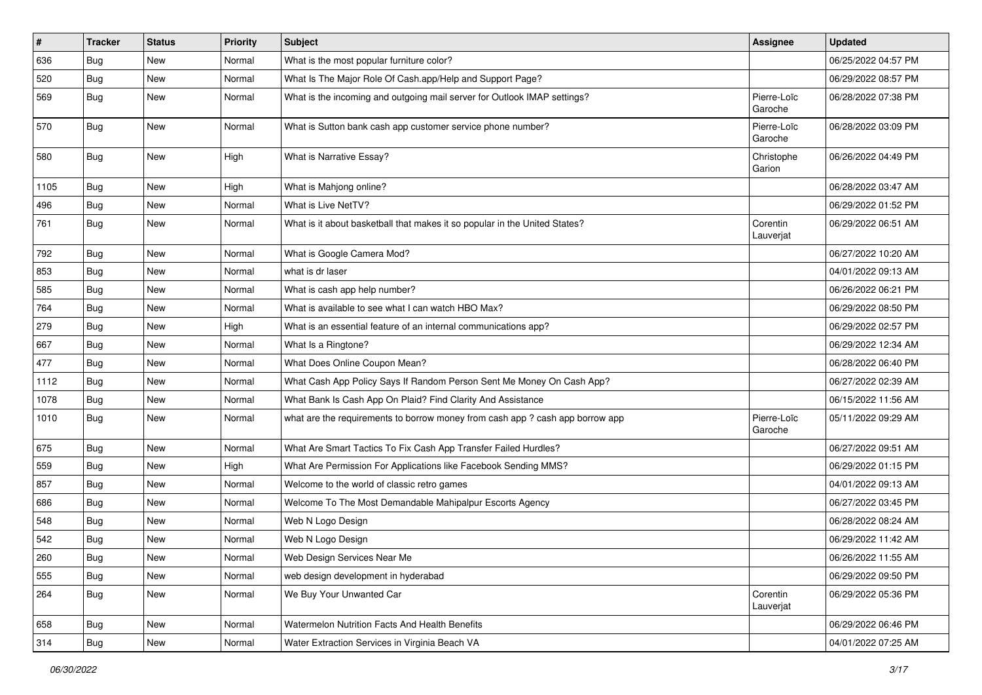| $\sharp$ | <b>Tracker</b> | <b>Status</b> | <b>Priority</b> | <b>Subject</b>                                                                | Assignee               | <b>Updated</b>      |
|----------|----------------|---------------|-----------------|-------------------------------------------------------------------------------|------------------------|---------------------|
| 636      | Bug            | New           | Normal          | What is the most popular furniture color?                                     |                        | 06/25/2022 04:57 PM |
| 520      | Bug            | <b>New</b>    | Normal          | What Is The Major Role Of Cash.app/Help and Support Page?                     |                        | 06/29/2022 08:57 PM |
| 569      | Bug            | New           | Normal          | What is the incoming and outgoing mail server for Outlook IMAP settings?      | Pierre-Loïc<br>Garoche | 06/28/2022 07:38 PM |
| 570      | Bug            | <b>New</b>    | Normal          | What is Sutton bank cash app customer service phone number?                   | Pierre-Loïc<br>Garoche | 06/28/2022 03:09 PM |
| 580      | <b>Bug</b>     | New           | High            | What is Narrative Essay?                                                      | Christophe<br>Garion   | 06/26/2022 04:49 PM |
| 1105     | <b>Bug</b>     | <b>New</b>    | High            | What is Mahjong online?                                                       |                        | 06/28/2022 03:47 AM |
| 496      | Bug            | New           | Normal          | What is Live NetTV?                                                           |                        | 06/29/2022 01:52 PM |
| 761      | Bug            | New           | Normal          | What is it about basketball that makes it so popular in the United States?    | Corentin<br>Lauverjat  | 06/29/2022 06:51 AM |
| 792      | Bug            | <b>New</b>    | Normal          | What is Google Camera Mod?                                                    |                        | 06/27/2022 10:20 AM |
| 853      | Bug            | New           | Normal          | what is dr laser                                                              |                        | 04/01/2022 09:13 AM |
| 585      | Bug            | New           | Normal          | What is cash app help number?                                                 |                        | 06/26/2022 06:21 PM |
| 764      | Bug            | <b>New</b>    | Normal          | What is available to see what I can watch HBO Max?                            |                        | 06/29/2022 08:50 PM |
| 279      | <b>Bug</b>     | New           | High            | What is an essential feature of an internal communications app?               |                        | 06/29/2022 02:57 PM |
| 667      | <b>Bug</b>     | <b>New</b>    | Normal          | What Is a Ringtone?                                                           |                        | 06/29/2022 12:34 AM |
| 477      | Bug            | New           | Normal          | What Does Online Coupon Mean?                                                 |                        | 06/28/2022 06:40 PM |
| 1112     | <b>Bug</b>     | New           | Normal          | What Cash App Policy Says If Random Person Sent Me Money On Cash App?         |                        | 06/27/2022 02:39 AM |
| 1078     | Bug            | <b>New</b>    | Normal          | What Bank Is Cash App On Plaid? Find Clarity And Assistance                   |                        | 06/15/2022 11:56 AM |
| 1010     | Bug            | New           | Normal          | what are the requirements to borrow money from cash app ? cash app borrow app | Pierre-Loïc<br>Garoche | 05/11/2022 09:29 AM |
| 675      | <b>Bug</b>     | <b>New</b>    | Normal          | What Are Smart Tactics To Fix Cash App Transfer Failed Hurdles?               |                        | 06/27/2022 09:51 AM |
| 559      | Bug            | New           | High            | What Are Permission For Applications like Facebook Sending MMS?               |                        | 06/29/2022 01:15 PM |
| 857      | Bug            | <b>New</b>    | Normal          | Welcome to the world of classic retro games                                   |                        | 04/01/2022 09:13 AM |
| 686      | Bug            | New           | Normal          | Welcome To The Most Demandable Mahipalpur Escorts Agency                      |                        | 06/27/2022 03:45 PM |
| 548      | Bug            | New           | Normal          | Web N Logo Design                                                             |                        | 06/28/2022 08:24 AM |
| 542      | Bug            | New           | Normal          | Web N Logo Design                                                             |                        | 06/29/2022 11:42 AM |
| 260      | Bug            | New           | Normal          | Web Design Services Near Me                                                   |                        | 06/26/2022 11:55 AM |
| 555      | <b>Bug</b>     | New           | Normal          | web design development in hyderabad                                           |                        | 06/29/2022 09:50 PM |
| 264      | Bug            | New           | Normal          | We Buy Your Unwanted Car                                                      | Corentin<br>Lauverjat  | 06/29/2022 05:36 PM |
| 658      | <b>Bug</b>     | New           | Normal          | Watermelon Nutrition Facts And Health Benefits                                |                        | 06/29/2022 06:46 PM |
| 314      | Bug            | New           | Normal          | Water Extraction Services in Virginia Beach VA                                |                        | 04/01/2022 07:25 AM |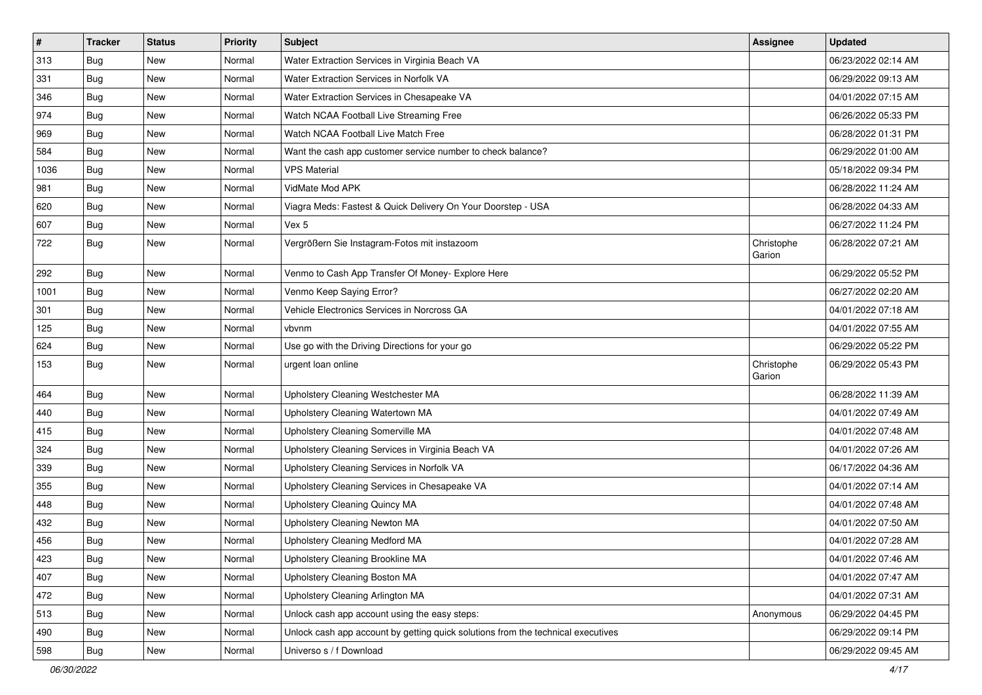| $\vert$ # | <b>Tracker</b> | <b>Status</b> | <b>Priority</b> | <b>Subject</b>                                                                   | <b>Assignee</b>      | <b>Updated</b>      |
|-----------|----------------|---------------|-----------------|----------------------------------------------------------------------------------|----------------------|---------------------|
| 313       | <b>Bug</b>     | New           | Normal          | Water Extraction Services in Virginia Beach VA                                   |                      | 06/23/2022 02:14 AM |
| 331       | Bug            | <b>New</b>    | Normal          | Water Extraction Services in Norfolk VA                                          |                      | 06/29/2022 09:13 AM |
| 346       | Bug            | New           | Normal          | Water Extraction Services in Chesapeake VA                                       |                      | 04/01/2022 07:15 AM |
| 974       | <b>Bug</b>     | <b>New</b>    | Normal          | Watch NCAA Football Live Streaming Free                                          |                      | 06/26/2022 05:33 PM |
| 969       | Bug            | <b>New</b>    | Normal          | Watch NCAA Football Live Match Free                                              |                      | 06/28/2022 01:31 PM |
| 584       | Bug            | New           | Normal          | Want the cash app customer service number to check balance?                      |                      | 06/29/2022 01:00 AM |
| 1036      | Bug            | New           | Normal          | <b>VPS Material</b>                                                              |                      | 05/18/2022 09:34 PM |
| 981       | Bug            | New           | Normal          | VidMate Mod APK                                                                  |                      | 06/28/2022 11:24 AM |
| 620       | Bug            | New           | Normal          | Viagra Meds: Fastest & Quick Delivery On Your Doorstep - USA                     |                      | 06/28/2022 04:33 AM |
| 607       | Bug            | <b>New</b>    | Normal          | Vex 5                                                                            |                      | 06/27/2022 11:24 PM |
| 722       | <b>Bug</b>     | New           | Normal          | Vergrößern Sie Instagram-Fotos mit instazoom                                     | Christophe<br>Garion | 06/28/2022 07:21 AM |
| 292       | Bug            | <b>New</b>    | Normal          | Venmo to Cash App Transfer Of Money- Explore Here                                |                      | 06/29/2022 05:52 PM |
| 1001      | Bug            | New           | Normal          | Venmo Keep Saying Error?                                                         |                      | 06/27/2022 02:20 AM |
| 301       | Bug            | <b>New</b>    | Normal          | Vehicle Electronics Services in Norcross GA                                      |                      | 04/01/2022 07:18 AM |
| 125       | <b>Bug</b>     | New           | Normal          | vbvnm                                                                            |                      | 04/01/2022 07:55 AM |
| 624       | Bug            | New           | Normal          | Use go with the Driving Directions for your go                                   |                      | 06/29/2022 05:22 PM |
| 153       | Bug            | <b>New</b>    | Normal          | urgent loan online                                                               | Christophe<br>Garion | 06/29/2022 05:43 PM |
| 464       | Bug            | <b>New</b>    | Normal          | Upholstery Cleaning Westchester MA                                               |                      | 06/28/2022 11:39 AM |
| 440       | Bug            | <b>New</b>    | Normal          | Upholstery Cleaning Watertown MA                                                 |                      | 04/01/2022 07:49 AM |
| 415       | Bug            | <b>New</b>    | Normal          | Upholstery Cleaning Somerville MA                                                |                      | 04/01/2022 07:48 AM |
| 324       | <b>Bug</b>     | <b>New</b>    | Normal          | Upholstery Cleaning Services in Virginia Beach VA                                |                      | 04/01/2022 07:26 AM |
| 339       | <b>Bug</b>     | New           | Normal          | Upholstery Cleaning Services in Norfolk VA                                       |                      | 06/17/2022 04:36 AM |
| 355       | <b>Bug</b>     | New           | Normal          | Upholstery Cleaning Services in Chesapeake VA                                    |                      | 04/01/2022 07:14 AM |
| 448       | Bug            | <b>New</b>    | Normal          | Upholstery Cleaning Quincy MA                                                    |                      | 04/01/2022 07:48 AM |
| 432       | <b>Bug</b>     | New           | Normal          | Upholstery Cleaning Newton MA                                                    |                      | 04/01/2022 07:50 AM |
| 456       | <b>Bug</b>     | New           | Normal          | Upholstery Cleaning Medford MA                                                   |                      | 04/01/2022 07:28 AM |
| 423       | <b>Bug</b>     | New           | Normal          | Upholstery Cleaning Brookline MA                                                 |                      | 04/01/2022 07:46 AM |
| 407       | Bug            | New           | Normal          | Upholstery Cleaning Boston MA                                                    |                      | 04/01/2022 07:47 AM |
| 472       | Bug            | <b>New</b>    | Normal          | Upholstery Cleaning Arlington MA                                                 |                      | 04/01/2022 07:31 AM |
| 513       | Bug            | New           | Normal          | Unlock cash app account using the easy steps:                                    | Anonymous            | 06/29/2022 04:45 PM |
| 490       | Bug            | New           | Normal          | Unlock cash app account by getting quick solutions from the technical executives |                      | 06/29/2022 09:14 PM |
| 598       | <b>Bug</b>     | New           | Normal          | Universo s / f Download                                                          |                      | 06/29/2022 09:45 AM |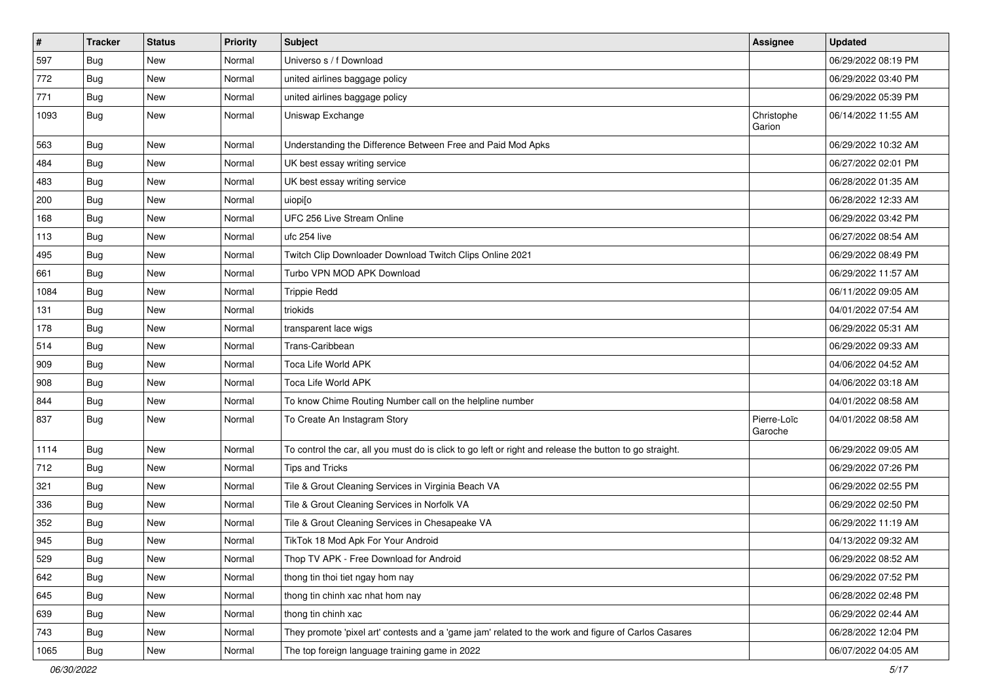| $\pmb{\#}$ | <b>Tracker</b> | <b>Status</b> | <b>Priority</b> | Subject                                                                                                 | Assignee               | <b>Updated</b>      |
|------------|----------------|---------------|-----------------|---------------------------------------------------------------------------------------------------------|------------------------|---------------------|
| 597        | <b>Bug</b>     | <b>New</b>    | Normal          | Universo s / f Download                                                                                 |                        | 06/29/2022 08:19 PM |
| 772        | <b>Bug</b>     | <b>New</b>    | Normal          | united airlines baggage policy                                                                          |                        | 06/29/2022 03:40 PM |
| 771        | Bug            | New           | Normal          | united airlines baggage policy                                                                          |                        | 06/29/2022 05:39 PM |
| 1093       | Bug            | <b>New</b>    | Normal          | Uniswap Exchange                                                                                        | Christophe<br>Garion   | 06/14/2022 11:55 AM |
| 563        | <b>Bug</b>     | New           | Normal          | Understanding the Difference Between Free and Paid Mod Apks                                             |                        | 06/29/2022 10:32 AM |
| 484        | <b>Bug</b>     | <b>New</b>    | Normal          | UK best essay writing service                                                                           |                        | 06/27/2022 02:01 PM |
| 483        | <b>Bug</b>     | <b>New</b>    | Normal          | UK best essay writing service                                                                           |                        | 06/28/2022 01:35 AM |
| 200        | <b>Bug</b>     | <b>New</b>    | Normal          | uiopi[o                                                                                                 |                        | 06/28/2022 12:33 AM |
| 168        | <b>Bug</b>     | <b>New</b>    | Normal          | UFC 256 Live Stream Online                                                                              |                        | 06/29/2022 03:42 PM |
| 113        | <b>Bug</b>     | New           | Normal          | ufc 254 live                                                                                            |                        | 06/27/2022 08:54 AM |
| 495        | <b>Bug</b>     | <b>New</b>    | Normal          | Twitch Clip Downloader Download Twitch Clips Online 2021                                                |                        | 06/29/2022 08:49 PM |
| 661        | <b>Bug</b>     | <b>New</b>    | Normal          | Turbo VPN MOD APK Download                                                                              |                        | 06/29/2022 11:57 AM |
| 1084       | <b>Bug</b>     | <b>New</b>    | Normal          | <b>Trippie Redd</b>                                                                                     |                        | 06/11/2022 09:05 AM |
| 131        | <b>Bug</b>     | <b>New</b>    | Normal          | triokids                                                                                                |                        | 04/01/2022 07:54 AM |
| 178        | <b>Bug</b>     | New           | Normal          | transparent lace wigs                                                                                   |                        | 06/29/2022 05:31 AM |
| 514        | <b>Bug</b>     | <b>New</b>    | Normal          | Trans-Caribbean                                                                                         |                        | 06/29/2022 09:33 AM |
| 909        | Bug            | <b>New</b>    | Normal          | Toca Life World APK                                                                                     |                        | 04/06/2022 04:52 AM |
| 908        | <b>Bug</b>     | <b>New</b>    | Normal          | Toca Life World APK                                                                                     |                        | 04/06/2022 03:18 AM |
| 844        | <b>Bug</b>     | <b>New</b>    | Normal          | To know Chime Routing Number call on the helpline number                                                |                        | 04/01/2022 08:58 AM |
| 837        | Bug            | New           | Normal          | To Create An Instagram Story                                                                            | Pierre-Loïc<br>Garoche | 04/01/2022 08:58 AM |
| 1114       | Bug            | New           | Normal          | To control the car, all you must do is click to go left or right and release the button to go straight. |                        | 06/29/2022 09:05 AM |
| 712        | <b>Bug</b>     | New           | Normal          | Tips and Tricks                                                                                         |                        | 06/29/2022 07:26 PM |
| 321        | Bug            | <b>New</b>    | Normal          | Tile & Grout Cleaning Services in Virginia Beach VA                                                     |                        | 06/29/2022 02:55 PM |
| 336        | Bug            | <b>New</b>    | Normal          | Tile & Grout Cleaning Services in Norfolk VA                                                            |                        | 06/29/2022 02:50 PM |
| 352        | <b>Bug</b>     | <b>New</b>    | Normal          | Tile & Grout Cleaning Services in Chesapeake VA                                                         |                        | 06/29/2022 11:19 AM |
| 945        | <b>Bug</b>     | <b>New</b>    | Normal          | TikTok 18 Mod Apk For Your Android                                                                      |                        | 04/13/2022 09:32 AM |
| 529        | Bug            | New           | Normal          | Thop TV APK - Free Download for Android                                                                 |                        | 06/29/2022 08:52 AM |
| 642        | Bug            | New           | Normal          | thong tin thoi tiet ngay hom nay                                                                        |                        | 06/29/2022 07:52 PM |
| 645        | Bug            | New           | Normal          | thong tin chinh xac nhat hom nay                                                                        |                        | 06/28/2022 02:48 PM |
| 639        | <b>Bug</b>     | New           | Normal          | thong tin chinh xac                                                                                     |                        | 06/29/2022 02:44 AM |
| 743        | Bug            | New           | Normal          | They promote 'pixel art' contests and a 'game jam' related to the work and figure of Carlos Casares     |                        | 06/28/2022 12:04 PM |
| 1065       | Bug            | New           | Normal          | The top foreign language training game in 2022                                                          |                        | 06/07/2022 04:05 AM |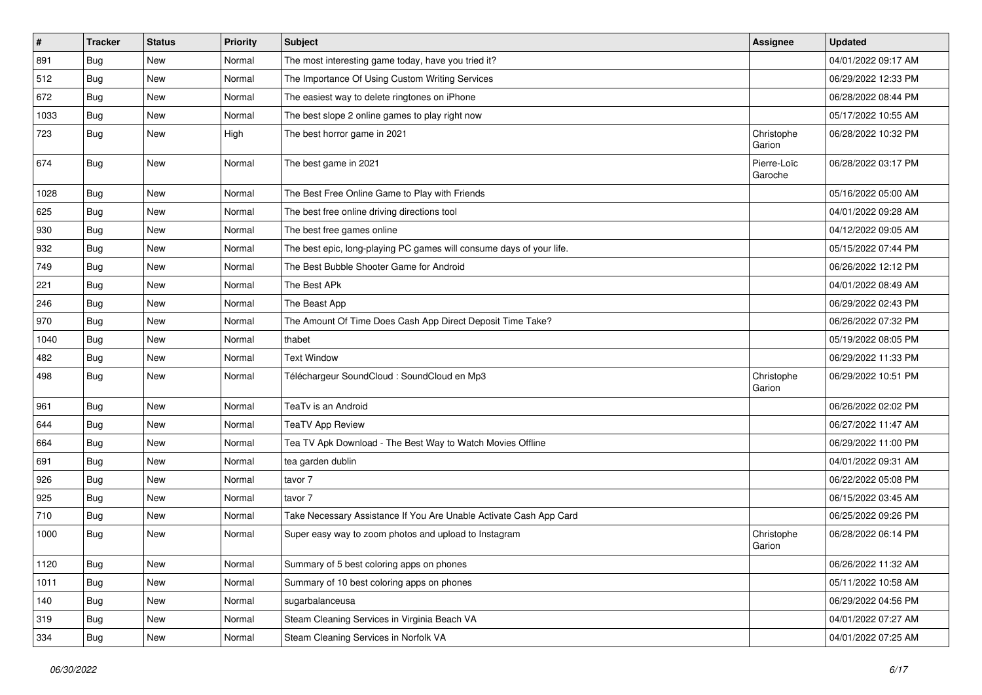| $\sharp$ | <b>Tracker</b> | <b>Status</b> | <b>Priority</b> | <b>Subject</b>                                                       | Assignee               | <b>Updated</b>      |
|----------|----------------|---------------|-----------------|----------------------------------------------------------------------|------------------------|---------------------|
| 891      | Bug            | New           | Normal          | The most interesting game today, have you tried it?                  |                        | 04/01/2022 09:17 AM |
| 512      | Bug            | <b>New</b>    | Normal          | The Importance Of Using Custom Writing Services                      |                        | 06/29/2022 12:33 PM |
| 672      | Bug            | New           | Normal          | The easiest way to delete ringtones on iPhone                        |                        | 06/28/2022 08:44 PM |
| 1033     | <b>Bug</b>     | <b>New</b>    | Normal          | The best slope 2 online games to play right now                      |                        | 05/17/2022 10:55 AM |
| 723      | Bug            | <b>New</b>    | High            | The best horror game in 2021                                         | Christophe<br>Garion   | 06/28/2022 10:32 PM |
| 674      | Bug            | <b>New</b>    | Normal          | The best game in 2021                                                | Pierre-Loïc<br>Garoche | 06/28/2022 03:17 PM |
| 1028     | Bug            | <b>New</b>    | Normal          | The Best Free Online Game to Play with Friends                       |                        | 05/16/2022 05:00 AM |
| 625      | Bug            | <b>New</b>    | Normal          | The best free online driving directions tool                         |                        | 04/01/2022 09:28 AM |
| 930      | Bug            | New           | Normal          | The best free games online                                           |                        | 04/12/2022 09:05 AM |
| 932      | <b>Bug</b>     | <b>New</b>    | Normal          | The best epic, long-playing PC games will consume days of your life. |                        | 05/15/2022 07:44 PM |
| 749      | Bug            | <b>New</b>    | Normal          | The Best Bubble Shooter Game for Android                             |                        | 06/26/2022 12:12 PM |
| 221      | Bug            | New           | Normal          | The Best APk                                                         |                        | 04/01/2022 08:49 AM |
| 246      | <b>Bug</b>     | <b>New</b>    | Normal          | The Beast App                                                        |                        | 06/29/2022 02:43 PM |
| 970      | Bug            | New           | Normal          | The Amount Of Time Does Cash App Direct Deposit Time Take?           |                        | 06/26/2022 07:32 PM |
| 1040     | <b>Bug</b>     | New           | Normal          | thabet                                                               |                        | 05/19/2022 08:05 PM |
| 482      | Bug            | <b>New</b>    | Normal          | <b>Text Window</b>                                                   |                        | 06/29/2022 11:33 PM |
| 498      | Bug            | New           | Normal          | Téléchargeur SoundCloud : SoundCloud en Mp3                          | Christophe<br>Garion   | 06/29/2022 10:51 PM |
| 961      | Bug            | <b>New</b>    | Normal          | TeaTv is an Android                                                  |                        | 06/26/2022 02:02 PM |
| 644      | Bug            | <b>New</b>    | Normal          | <b>TeaTV App Review</b>                                              |                        | 06/27/2022 11:47 AM |
| 664      | <b>Bug</b>     | <b>New</b>    | Normal          | Tea TV Apk Download - The Best Way to Watch Movies Offline           |                        | 06/29/2022 11:00 PM |
| 691      | Bug            | New           | Normal          | tea garden dublin                                                    |                        | 04/01/2022 09:31 AM |
| 926      | <b>Bug</b>     | New           | Normal          | tavor 7                                                              |                        | 06/22/2022 05:08 PM |
| 925      | Bug            | <b>New</b>    | Normal          | tavor 7                                                              |                        | 06/15/2022 03:45 AM |
| 710      | <b>Bug</b>     | New           | Normal          | Take Necessary Assistance If You Are Unable Activate Cash App Card   |                        | 06/25/2022 09:26 PM |
| 1000     | Bug            | New           | Normal          | Super easy way to zoom photos and upload to Instagram                | Christophe<br>Garion   | 06/28/2022 06:14 PM |
| 1120     | <b>Bug</b>     | New           | Normal          | Summary of 5 best coloring apps on phones                            |                        | 06/26/2022 11:32 AM |
| 1011     | Bug            | New           | Normal          | Summary of 10 best coloring apps on phones                           |                        | 05/11/2022 10:58 AM |
| 140      | <b>Bug</b>     | New           | Normal          | sugarbalanceusa                                                      |                        | 06/29/2022 04:56 PM |
| 319      | <b>Bug</b>     | New           | Normal          | Steam Cleaning Services in Virginia Beach VA                         |                        | 04/01/2022 07:27 AM |
| 334      | Bug            | New           | Normal          | Steam Cleaning Services in Norfolk VA                                |                        | 04/01/2022 07:25 AM |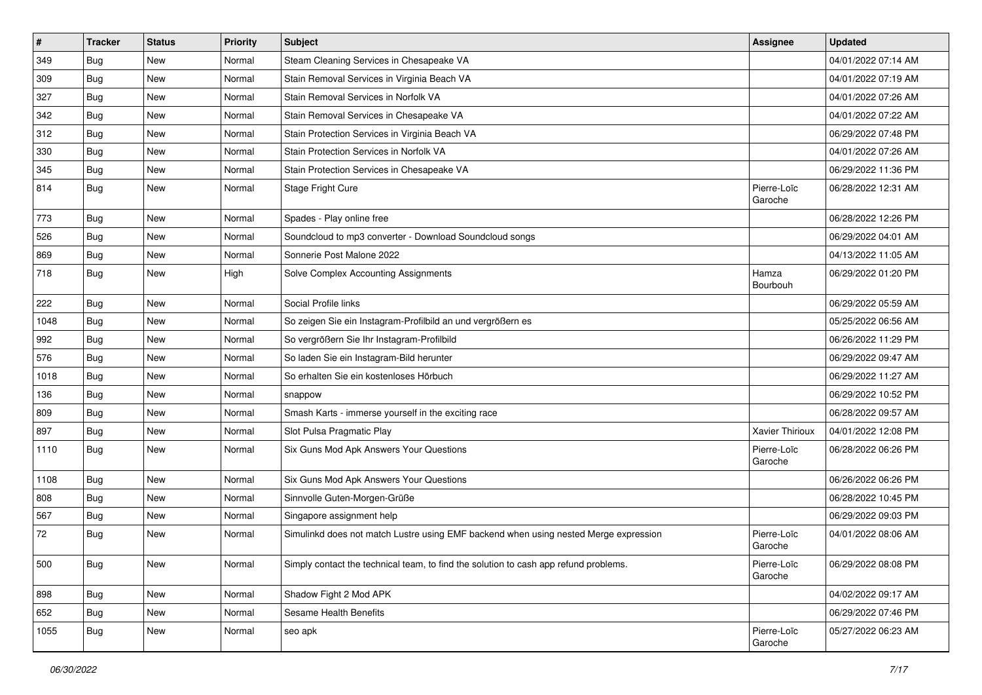| $\pmb{\#}$ | <b>Tracker</b> | <b>Status</b> | <b>Priority</b> | <b>Subject</b>                                                                       | <b>Assignee</b>        | <b>Updated</b>      |
|------------|----------------|---------------|-----------------|--------------------------------------------------------------------------------------|------------------------|---------------------|
| 349        | Bug            | New           | Normal          | Steam Cleaning Services in Chesapeake VA                                             |                        | 04/01/2022 07:14 AM |
| 309        | <b>Bug</b>     | <b>New</b>    | Normal          | Stain Removal Services in Virginia Beach VA                                          |                        | 04/01/2022 07:19 AM |
| 327        | Bug            | New           | Normal          | Stain Removal Services in Norfolk VA                                                 |                        | 04/01/2022 07:26 AM |
| 342        | Bug            | <b>New</b>    | Normal          | Stain Removal Services in Chesapeake VA                                              |                        | 04/01/2022 07:22 AM |
| 312        | Bug            | <b>New</b>    | Normal          | Stain Protection Services in Virginia Beach VA                                       |                        | 06/29/2022 07:48 PM |
| 330        | <b>Bug</b>     | New           | Normal          | Stain Protection Services in Norfolk VA                                              |                        | 04/01/2022 07:26 AM |
| 345        | Bug            | <b>New</b>    | Normal          | Stain Protection Services in Chesapeake VA                                           |                        | 06/29/2022 11:36 PM |
| 814        | Bug            | New           | Normal          | Stage Fright Cure                                                                    | Pierre-Loïc<br>Garoche | 06/28/2022 12:31 AM |
| 773        | Bug            | <b>New</b>    | Normal          | Spades - Play online free                                                            |                        | 06/28/2022 12:26 PM |
| 526        | Bug            | New           | Normal          | Soundcloud to mp3 converter - Download Soundcloud songs                              |                        | 06/29/2022 04:01 AM |
| 869        | Bug            | <b>New</b>    | Normal          | Sonnerie Post Malone 2022                                                            |                        | 04/13/2022 11:05 AM |
| 718        | <b>Bug</b>     | <b>New</b>    | High            | Solve Complex Accounting Assignments                                                 | Hamza<br>Bourbouh      | 06/29/2022 01:20 PM |
| 222        | <b>Bug</b>     | <b>New</b>    | Normal          | Social Profile links                                                                 |                        | 06/29/2022 05:59 AM |
| 1048       | Bug            | New           | Normal          | So zeigen Sie ein Instagram-Profilbild an und vergrößern es                          |                        | 05/25/2022 06:56 AM |
| 992        | <b>Bug</b>     | <b>New</b>    | Normal          | So vergrößern Sie Ihr Instagram-Profilbild                                           |                        | 06/26/2022 11:29 PM |
| 576        | Bug            | <b>New</b>    | Normal          | So laden Sie ein Instagram-Bild herunter                                             |                        | 06/29/2022 09:47 AM |
| 1018       | <b>Bug</b>     | <b>New</b>    | Normal          | So erhalten Sie ein kostenloses Hörbuch                                              |                        | 06/29/2022 11:27 AM |
| 136        | Bug            | <b>New</b>    | Normal          | snappow                                                                              |                        | 06/29/2022 10:52 PM |
| 809        | <b>Bug</b>     | <b>New</b>    | Normal          | Smash Karts - immerse yourself in the exciting race                                  |                        | 06/28/2022 09:57 AM |
| 897        | Bug            | <b>New</b>    | Normal          | Slot Pulsa Pragmatic Play                                                            | Xavier Thirioux        | 04/01/2022 12:08 PM |
| 1110       | Bug            | <b>New</b>    | Normal          | Six Guns Mod Apk Answers Your Questions                                              | Pierre-Loïc<br>Garoche | 06/28/2022 06:26 PM |
| 1108       | Bug            | <b>New</b>    | Normal          | Six Guns Mod Apk Answers Your Questions                                              |                        | 06/26/2022 06:26 PM |
| 808        | Bug            | <b>New</b>    | Normal          | Sinnvolle Guten-Morgen-Grüße                                                         |                        | 06/28/2022 10:45 PM |
| 567        | <b>Bug</b>     | <b>New</b>    | Normal          | Singapore assignment help                                                            |                        | 06/29/2022 09:03 PM |
| 72         | <b>Bug</b>     | <b>New</b>    | Normal          | Simulinkd does not match Lustre using EMF backend when using nested Merge expression | Pierre-Loïc<br>Garoche | 04/01/2022 08:06 AM |
| 500        | Bug            | New           | Normal          | Simply contact the technical team, to find the solution to cash app refund problems. | Pierre-Loïc<br>Garoche | 06/29/2022 08:08 PM |
| 898        | Bug            | New           | Normal          | Shadow Fight 2 Mod APK                                                               |                        | 04/02/2022 09:17 AM |
| 652        | Bug            | New           | Normal          | Sesame Health Benefits                                                               |                        | 06/29/2022 07:46 PM |
| 1055       | Bug            | New           | Normal          | seo apk                                                                              | Pierre-Loïc<br>Garoche | 05/27/2022 06:23 AM |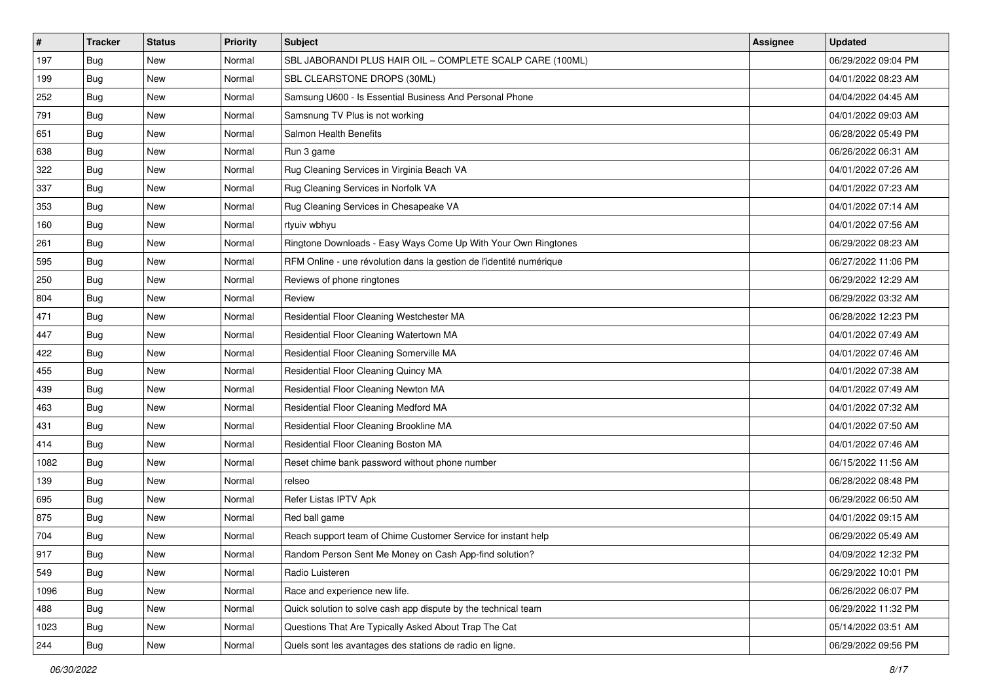| #    | <b>Tracker</b> | <b>Status</b> | <b>Priority</b> | Subject                                                             | <b>Assignee</b> | <b>Updated</b>      |
|------|----------------|---------------|-----------------|---------------------------------------------------------------------|-----------------|---------------------|
| 197  | <b>Bug</b>     | New           | Normal          | SBL JABORANDI PLUS HAIR OIL - COMPLETE SCALP CARE (100ML)           |                 | 06/29/2022 09:04 PM |
| 199  | Bug            | New           | Normal          | SBL CLEARSTONE DROPS (30ML)                                         |                 | 04/01/2022 08:23 AM |
| 252  | <b>Bug</b>     | New           | Normal          | Samsung U600 - Is Essential Business And Personal Phone             |                 | 04/04/2022 04:45 AM |
| 791  | Bug            | New           | Normal          | Samsnung TV Plus is not working                                     |                 | 04/01/2022 09:03 AM |
| 651  | Bug            | New           | Normal          | Salmon Health Benefits                                              |                 | 06/28/2022 05:49 PM |
| 638  | <b>Bug</b>     | New           | Normal          | Run 3 game                                                          |                 | 06/26/2022 06:31 AM |
| 322  | <b>Bug</b>     | New           | Normal          | Rug Cleaning Services in Virginia Beach VA                          |                 | 04/01/2022 07:26 AM |
| 337  | Bug            | New           | Normal          | Rug Cleaning Services in Norfolk VA                                 |                 | 04/01/2022 07:23 AM |
| 353  | <b>Bug</b>     | New           | Normal          | Rug Cleaning Services in Chesapeake VA                              |                 | 04/01/2022 07:14 AM |
| 160  | Bug            | <b>New</b>    | Normal          | rtyuiv wbhyu                                                        |                 | 04/01/2022 07:56 AM |
| 261  | <b>Bug</b>     | New           | Normal          | Ringtone Downloads - Easy Ways Come Up With Your Own Ringtones      |                 | 06/29/2022 08:23 AM |
| 595  | <b>Bug</b>     | <b>New</b>    | Normal          | RFM Online - une révolution dans la gestion de l'identité numérique |                 | 06/27/2022 11:06 PM |
| 250  | Bug            | <b>New</b>    | Normal          | Reviews of phone ringtones                                          |                 | 06/29/2022 12:29 AM |
| 804  | <b>Bug</b>     | New           | Normal          | Review                                                              |                 | 06/29/2022 03:32 AM |
| 471  | <b>Bug</b>     | New           | Normal          | Residential Floor Cleaning Westchester MA                           |                 | 06/28/2022 12:23 PM |
| 447  | <b>Bug</b>     | New           | Normal          | Residential Floor Cleaning Watertown MA                             |                 | 04/01/2022 07:49 AM |
| 422  | Bug            | New           | Normal          | Residential Floor Cleaning Somerville MA                            |                 | 04/01/2022 07:46 AM |
| 455  | Bug            | New           | Normal          | Residential Floor Cleaning Quincy MA                                |                 | 04/01/2022 07:38 AM |
| 439  | <b>Bug</b>     | New           | Normal          | Residential Floor Cleaning Newton MA                                |                 | 04/01/2022 07:49 AM |
| 463  | Bug            | New           | Normal          | Residential Floor Cleaning Medford MA                               |                 | 04/01/2022 07:32 AM |
| 431  | <b>Bug</b>     | <b>New</b>    | Normal          | Residential Floor Cleaning Brookline MA                             |                 | 04/01/2022 07:50 AM |
| 414  | Bug            | New           | Normal          | Residential Floor Cleaning Boston MA                                |                 | 04/01/2022 07:46 AM |
| 1082 | Bug            | <b>New</b>    | Normal          | Reset chime bank password without phone number                      |                 | 06/15/2022 11:56 AM |
| 139  | <b>Bug</b>     | New           | Normal          | relseo                                                              |                 | 06/28/2022 08:48 PM |
| 695  | <b>Bug</b>     | New           | Normal          | Refer Listas IPTV Apk                                               |                 | 06/29/2022 06:50 AM |
| 875  | Bug            | <b>New</b>    | Normal          | Red ball game                                                       |                 | 04/01/2022 09:15 AM |
| 704  | <b>Bug</b>     | New           | Normal          | Reach support team of Chime Customer Service for instant help       |                 | 06/29/2022 05:49 AM |
| 917  | <b>Bug</b>     | New           | Normal          | Random Person Sent Me Money on Cash App-find solution?              |                 | 04/09/2022 12:32 PM |
| 549  | Bug            | New           | Normal          | Radio Luisteren                                                     |                 | 06/29/2022 10:01 PM |
| 1096 | <b>Bug</b>     | New           | Normal          | Race and experience new life.                                       |                 | 06/26/2022 06:07 PM |
| 488  | Bug            | New           | Normal          | Quick solution to solve cash app dispute by the technical team      |                 | 06/29/2022 11:32 PM |
| 1023 | Bug            | New           | Normal          | Questions That Are Typically Asked About Trap The Cat               |                 | 05/14/2022 03:51 AM |
| 244  | <b>Bug</b>     | New           | Normal          | Quels sont les avantages des stations de radio en ligne.            |                 | 06/29/2022 09:56 PM |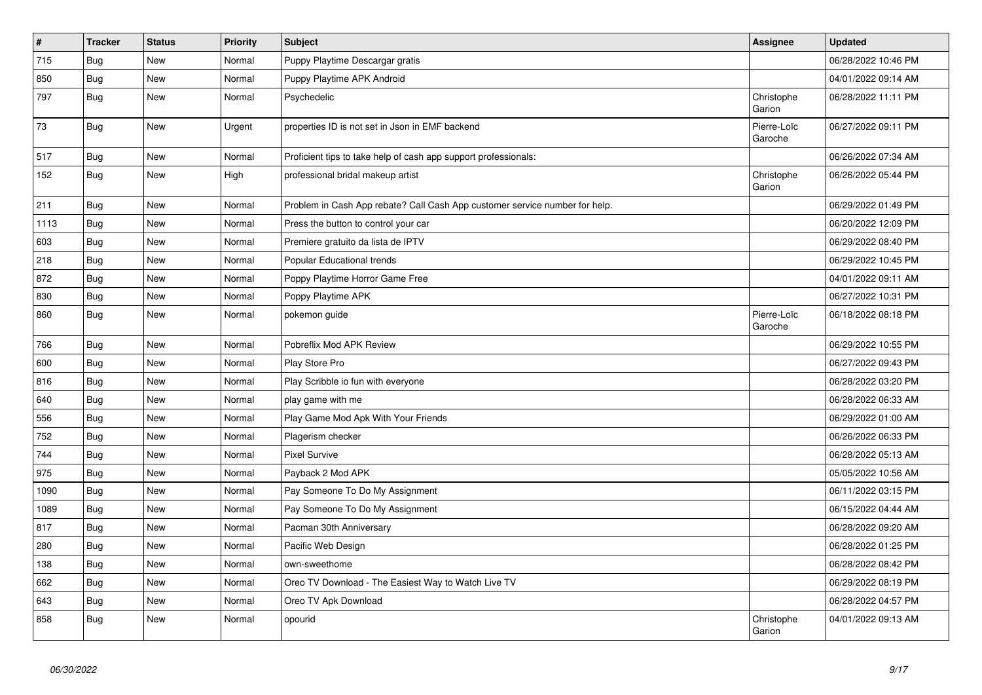| $\vert$ # | <b>Tracker</b> | <b>Status</b> | <b>Priority</b> | <b>Subject</b>                                                              | Assignee               | <b>Updated</b>      |
|-----------|----------------|---------------|-----------------|-----------------------------------------------------------------------------|------------------------|---------------------|
| 715       | <b>Bug</b>     | <b>New</b>    | Normal          | Puppy Playtime Descargar gratis                                             |                        | 06/28/2022 10:46 PM |
| 850       | Bug            | <b>New</b>    | Normal          | Puppy Playtime APK Android                                                  |                        | 04/01/2022 09:14 AM |
| 797       | Bug            | New           | Normal          | Psychedelic                                                                 | Christophe<br>Garion   | 06/28/2022 11:11 PM |
| 73        | <b>Bug</b>     | New           | Urgent          | properties ID is not set in Json in EMF backend                             | Pierre-Loïc<br>Garoche | 06/27/2022 09:11 PM |
| 517       | Bug            | New           | Normal          | Proficient tips to take help of cash app support professionals:             |                        | 06/26/2022 07:34 AM |
| 152       | <b>Bug</b>     | New           | High            | professional bridal makeup artist                                           | Christophe<br>Garion   | 06/26/2022 05:44 PM |
| 211       | Bug            | New           | Normal          | Problem in Cash App rebate? Call Cash App customer service number for help. |                        | 06/29/2022 01:49 PM |
| 1113      | <b>Bug</b>     | <b>New</b>    | Normal          | Press the button to control your car                                        |                        | 06/20/2022 12:09 PM |
| 603       | Bug            | <b>New</b>    | Normal          | Premiere gratuito da lista de IPTV                                          |                        | 06/29/2022 08:40 PM |
| 218       | Bug            | New           | Normal          | Popular Educational trends                                                  |                        | 06/29/2022 10:45 PM |
| 872       | Bug            | <b>New</b>    | Normal          | Poppy Playtime Horror Game Free                                             |                        | 04/01/2022 09:11 AM |
| 830       | Bug            | New           | Normal          | Poppy Playtime APK                                                          |                        | 06/27/2022 10:31 PM |
| 860       | <b>Bug</b>     | New           | Normal          | pokemon guide                                                               | Pierre-Loïc<br>Garoche | 06/18/2022 08:18 PM |
| 766       | Bug            | <b>New</b>    | Normal          | Pobreflix Mod APK Review                                                    |                        | 06/29/2022 10:55 PM |
| 600       | Bug            | <b>New</b>    | Normal          | Play Store Pro                                                              |                        | 06/27/2022 09:43 PM |
| 816       | <b>Bug</b>     | <b>New</b>    | Normal          | Play Scribble io fun with everyone                                          |                        | 06/28/2022 03:20 PM |
| 640       | <b>Bug</b>     | <b>New</b>    | Normal          | play game with me                                                           |                        | 06/28/2022 06:33 AM |
| 556       | <b>Bug</b>     | <b>New</b>    | Normal          | Play Game Mod Apk With Your Friends                                         |                        | 06/29/2022 01:00 AM |
| 752       | Bug            | <b>New</b>    | Normal          | Plagerism checker                                                           |                        | 06/26/2022 06:33 PM |
| 744       | <b>Bug</b>     | <b>New</b>    | Normal          | <b>Pixel Survive</b>                                                        |                        | 06/28/2022 05:13 AM |
| 975       | Bug            | <b>New</b>    | Normal          | Payback 2 Mod APK                                                           |                        | 05/05/2022 10:56 AM |
| 1090      | Bug            | <b>New</b>    | Normal          | Pay Someone To Do My Assignment                                             |                        | 06/11/2022 03:15 PM |
| 1089      | <b>Bug</b>     | <b>New</b>    | Normal          | Pay Someone To Do My Assignment                                             |                        | 06/15/2022 04:44 AM |
| 817       | <b>Bug</b>     | <b>New</b>    | Normal          | Pacman 30th Anniversary                                                     |                        | 06/28/2022 09:20 AM |
| 280       | <b>Bug</b>     | <b>New</b>    | Normal          | Pacific Web Design                                                          |                        | 06/28/2022 01:25 PM |
| 138       | Bug            | <b>New</b>    | Normal          | own-sweethome                                                               |                        | 06/28/2022 08:42 PM |
| 662       | <b>Bug</b>     | <b>New</b>    | Normal          | Oreo TV Download - The Easiest Way to Watch Live TV                         |                        | 06/29/2022 08:19 PM |
| 643       | Bug            | <b>New</b>    | Normal          | Oreo TV Apk Download                                                        |                        | 06/28/2022 04:57 PM |
| 858       | Bug            | <b>New</b>    | Normal          | opourid                                                                     | Christophe<br>Garion   | 04/01/2022 09:13 AM |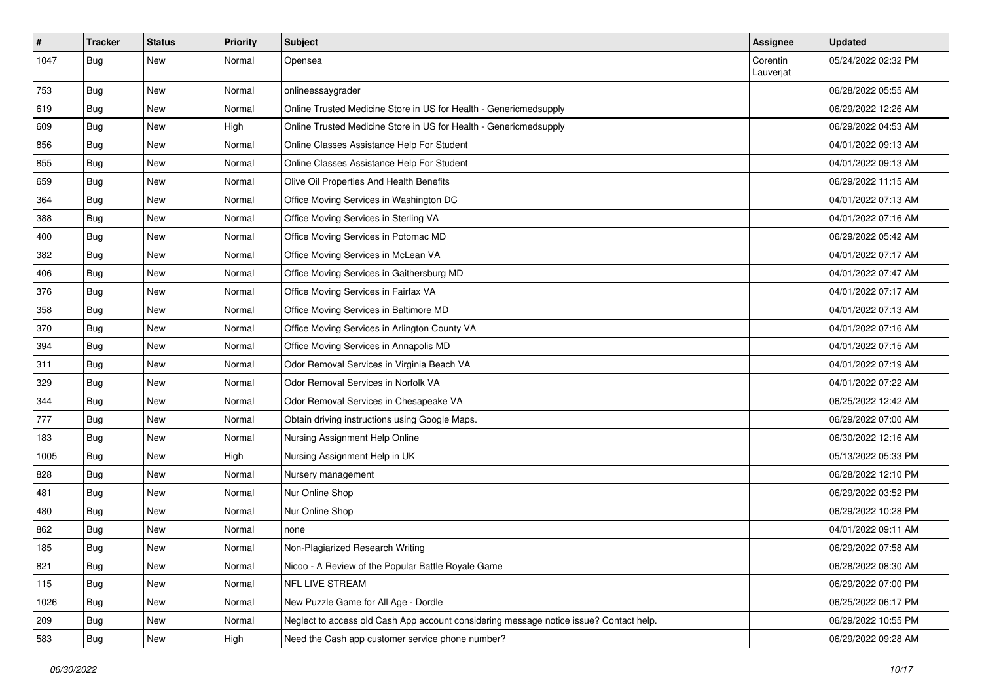| $\pmb{\#}$ | <b>Tracker</b> | <b>Status</b> | <b>Priority</b> | Subject                                                                                | Assignee              | <b>Updated</b>      |
|------------|----------------|---------------|-----------------|----------------------------------------------------------------------------------------|-----------------------|---------------------|
| 1047       | Bug            | <b>New</b>    | Normal          | Opensea                                                                                | Corentin<br>Lauverjat | 05/24/2022 02:32 PM |
| 753        | Bug            | New           | Normal          | onlineessaygrader                                                                      |                       | 06/28/2022 05:55 AM |
| 619        | <b>Bug</b>     | <b>New</b>    | Normal          | Online Trusted Medicine Store in US for Health - Genericmedsupply                      |                       | 06/29/2022 12:26 AM |
| 609        | Bug            | <b>New</b>    | High            | Online Trusted Medicine Store in US for Health - Genericmedsupply                      |                       | 06/29/2022 04:53 AM |
| 856        | <b>Bug</b>     | <b>New</b>    | Normal          | Online Classes Assistance Help For Student                                             |                       | 04/01/2022 09:13 AM |
| 855        | <b>Bug</b>     | <b>New</b>    | Normal          | Online Classes Assistance Help For Student                                             |                       | 04/01/2022 09:13 AM |
| 659        | Bug            | <b>New</b>    | Normal          | Olive Oil Properties And Health Benefits                                               |                       | 06/29/2022 11:15 AM |
| 364        | Bug            | <b>New</b>    | Normal          | Office Moving Services in Washington DC                                                |                       | 04/01/2022 07:13 AM |
| 388        | Bug            | <b>New</b>    | Normal          | Office Moving Services in Sterling VA                                                  |                       | 04/01/2022 07:16 AM |
| 400        | <b>Bug</b>     | New           | Normal          | Office Moving Services in Potomac MD                                                   |                       | 06/29/2022 05:42 AM |
| 382        | <b>Bug</b>     | <b>New</b>    | Normal          | Office Moving Services in McLean VA                                                    |                       | 04/01/2022 07:17 AM |
| 406        | <b>Bug</b>     | <b>New</b>    | Normal          | Office Moving Services in Gaithersburg MD                                              |                       | 04/01/2022 07:47 AM |
| 376        | <b>Bug</b>     | <b>New</b>    | Normal          | Office Moving Services in Fairfax VA                                                   |                       | 04/01/2022 07:17 AM |
| 358        | <b>Bug</b>     | <b>New</b>    | Normal          | Office Moving Services in Baltimore MD                                                 |                       | 04/01/2022 07:13 AM |
| 370        | Bug            | New           | Normal          | Office Moving Services in Arlington County VA                                          |                       | 04/01/2022 07:16 AM |
| 394        | Bug            | <b>New</b>    | Normal          | Office Moving Services in Annapolis MD                                                 |                       | 04/01/2022 07:15 AM |
| 311        | Bug            | <b>New</b>    | Normal          | Odor Removal Services in Virginia Beach VA                                             |                       | 04/01/2022 07:19 AM |
| 329        | <b>Bug</b>     | <b>New</b>    | Normal          | Odor Removal Services in Norfolk VA                                                    |                       | 04/01/2022 07:22 AM |
| 344        | <b>Bug</b>     | <b>New</b>    | Normal          | Odor Removal Services in Chesapeake VA                                                 |                       | 06/25/2022 12:42 AM |
| 777        | Bug            | <b>New</b>    | Normal          | Obtain driving instructions using Google Maps.                                         |                       | 06/29/2022 07:00 AM |
| 183        | <b>Bug</b>     | <b>New</b>    | Normal          | Nursing Assignment Help Online                                                         |                       | 06/30/2022 12:16 AM |
| 1005       | Bug            | <b>New</b>    | High            | Nursing Assignment Help in UK                                                          |                       | 05/13/2022 05:33 PM |
| 828        | <b>Bug</b>     | <b>New</b>    | Normal          | Nursery management                                                                     |                       | 06/28/2022 12:10 PM |
| 481        | <b>Bug</b>     | <b>New</b>    | Normal          | Nur Online Shop                                                                        |                       | 06/29/2022 03:52 PM |
| 480        | <b>Bug</b>     | <b>New</b>    | Normal          | Nur Online Shop                                                                        |                       | 06/29/2022 10:28 PM |
| 862        | <b>Bug</b>     | <b>New</b>    | Normal          | none                                                                                   |                       | 04/01/2022 09:11 AM |
| 185        | <b>Bug</b>     | <b>New</b>    | Normal          | Non-Plagiarized Research Writing                                                       |                       | 06/29/2022 07:58 AM |
| 821        | Bug            | New           | Normal          | Nicoo - A Review of the Popular Battle Royale Game                                     |                       | 06/28/2022 08:30 AM |
| 115        | Bug            | New           | Normal          | NFL LIVE STREAM                                                                        |                       | 06/29/2022 07:00 PM |
| 1026       | Bug            | New           | Normal          | New Puzzle Game for All Age - Dordle                                                   |                       | 06/25/2022 06:17 PM |
| 209        | Bug            | New           | Normal          | Neglect to access old Cash App account considering message notice issue? Contact help. |                       | 06/29/2022 10:55 PM |
| 583        | Bug            | New           | High            | Need the Cash app customer service phone number?                                       |                       | 06/29/2022 09:28 AM |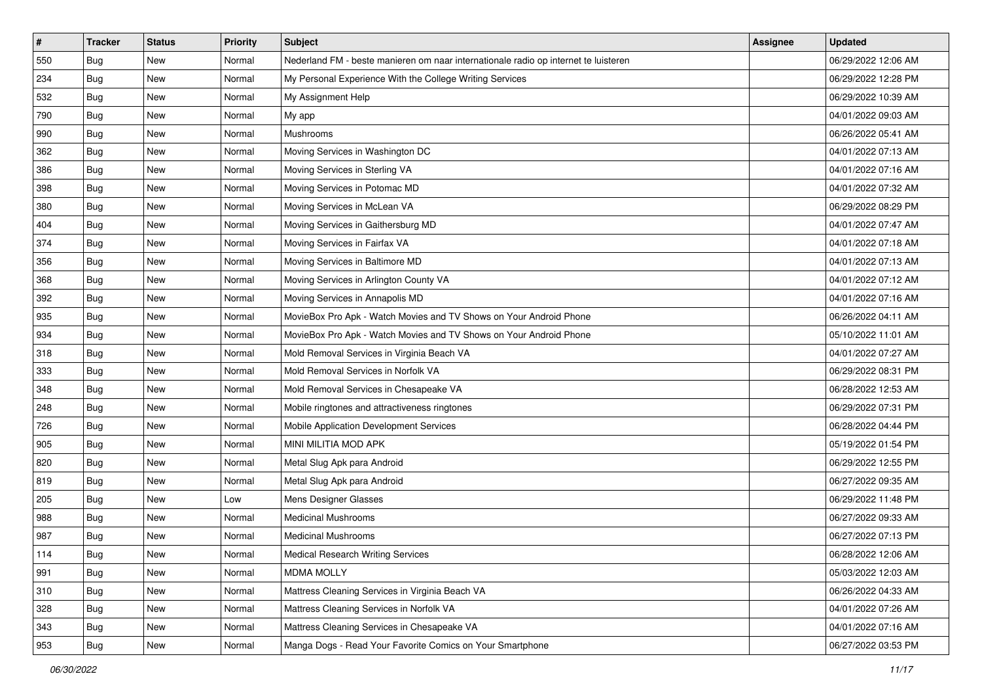| #   | <b>Tracker</b> | <b>Status</b> | <b>Priority</b> | Subject                                                                             | Assignee | <b>Updated</b>      |
|-----|----------------|---------------|-----------------|-------------------------------------------------------------------------------------|----------|---------------------|
| 550 | <b>Bug</b>     | <b>New</b>    | Normal          | Nederland FM - beste manieren om naar internationale radio op internet te luisteren |          | 06/29/2022 12:06 AM |
| 234 | Bug            | New           | Normal          | My Personal Experience With the College Writing Services                            |          | 06/29/2022 12:28 PM |
| 532 | Bug            | New           | Normal          | My Assignment Help                                                                  |          | 06/29/2022 10:39 AM |
| 790 | Bug            | New           | Normal          | My app                                                                              |          | 04/01/2022 09:03 AM |
| 990 | Bug            | <b>New</b>    | Normal          | Mushrooms                                                                           |          | 06/26/2022 05:41 AM |
| 362 | <b>Bug</b>     | New           | Normal          | Moving Services in Washington DC                                                    |          | 04/01/2022 07:13 AM |
| 386 | <b>Bug</b>     | New           | Normal          | Moving Services in Sterling VA                                                      |          | 04/01/2022 07:16 AM |
| 398 | Bug            | New           | Normal          | Moving Services in Potomac MD                                                       |          | 04/01/2022 07:32 AM |
| 380 | <b>Bug</b>     | New           | Normal          | Moving Services in McLean VA                                                        |          | 06/29/2022 08:29 PM |
| 404 | Bug            | <b>New</b>    | Normal          | Moving Services in Gaithersburg MD                                                  |          | 04/01/2022 07:47 AM |
| 374 | <b>Bug</b>     | New           | Normal          | Moving Services in Fairfax VA                                                       |          | 04/01/2022 07:18 AM |
| 356 | <b>Bug</b>     | <b>New</b>    | Normal          | Moving Services in Baltimore MD                                                     |          | 04/01/2022 07:13 AM |
| 368 | Bug            | <b>New</b>    | Normal          | Moving Services in Arlington County VA                                              |          | 04/01/2022 07:12 AM |
| 392 | <b>Bug</b>     | New           | Normal          | Moving Services in Annapolis MD                                                     |          | 04/01/2022 07:16 AM |
| 935 | <b>Bug</b>     | New           | Normal          | MovieBox Pro Apk - Watch Movies and TV Shows on Your Android Phone                  |          | 06/26/2022 04:11 AM |
| 934 | <b>Bug</b>     | New           | Normal          | MovieBox Pro Apk - Watch Movies and TV Shows on Your Android Phone                  |          | 05/10/2022 11:01 AM |
| 318 | Bug            | New           | Normal          | Mold Removal Services in Virginia Beach VA                                          |          | 04/01/2022 07:27 AM |
| 333 | Bug            | <b>New</b>    | Normal          | Mold Removal Services in Norfolk VA                                                 |          | 06/29/2022 08:31 PM |
| 348 | <b>Bug</b>     | New           | Normal          | Mold Removal Services in Chesapeake VA                                              |          | 06/28/2022 12:53 AM |
| 248 | Bug            | New           | Normal          | Mobile ringtones and attractiveness ringtones                                       |          | 06/29/2022 07:31 PM |
| 726 | <b>Bug</b>     | New           | Normal          | Mobile Application Development Services                                             |          | 06/28/2022 04:44 PM |
| 905 | Bug            | <b>New</b>    | Normal          | MINI MILITIA MOD APK                                                                |          | 05/19/2022 01:54 PM |
| 820 | Bug            | <b>New</b>    | Normal          | Metal Slug Apk para Android                                                         |          | 06/29/2022 12:55 PM |
| 819 | <b>Bug</b>     | New           | Normal          | Metal Slug Apk para Android                                                         |          | 06/27/2022 09:35 AM |
| 205 | <b>Bug</b>     | New           | Low             | Mens Designer Glasses                                                               |          | 06/29/2022 11:48 PM |
| 988 | Bug            | <b>New</b>    | Normal          | <b>Medicinal Mushrooms</b>                                                          |          | 06/27/2022 09:33 AM |
| 987 | <b>Bug</b>     | New           | Normal          | <b>Medicinal Mushrooms</b>                                                          |          | 06/27/2022 07:13 PM |
| 114 | Bug            | New           | Normal          | <b>Medical Research Writing Services</b>                                            |          | 06/28/2022 12:06 AM |
| 991 | Bug            | New           | Normal          | <b>MDMA MOLLY</b>                                                                   |          | 05/03/2022 12:03 AM |
| 310 | <b>Bug</b>     | New           | Normal          | Mattress Cleaning Services in Virginia Beach VA                                     |          | 06/26/2022 04:33 AM |
| 328 | Bug            | New           | Normal          | Mattress Cleaning Services in Norfolk VA                                            |          | 04/01/2022 07:26 AM |
| 343 | Bug            | New           | Normal          | Mattress Cleaning Services in Chesapeake VA                                         |          | 04/01/2022 07:16 AM |
| 953 | <b>Bug</b>     | New           | Normal          | Manga Dogs - Read Your Favorite Comics on Your Smartphone                           |          | 06/27/2022 03:53 PM |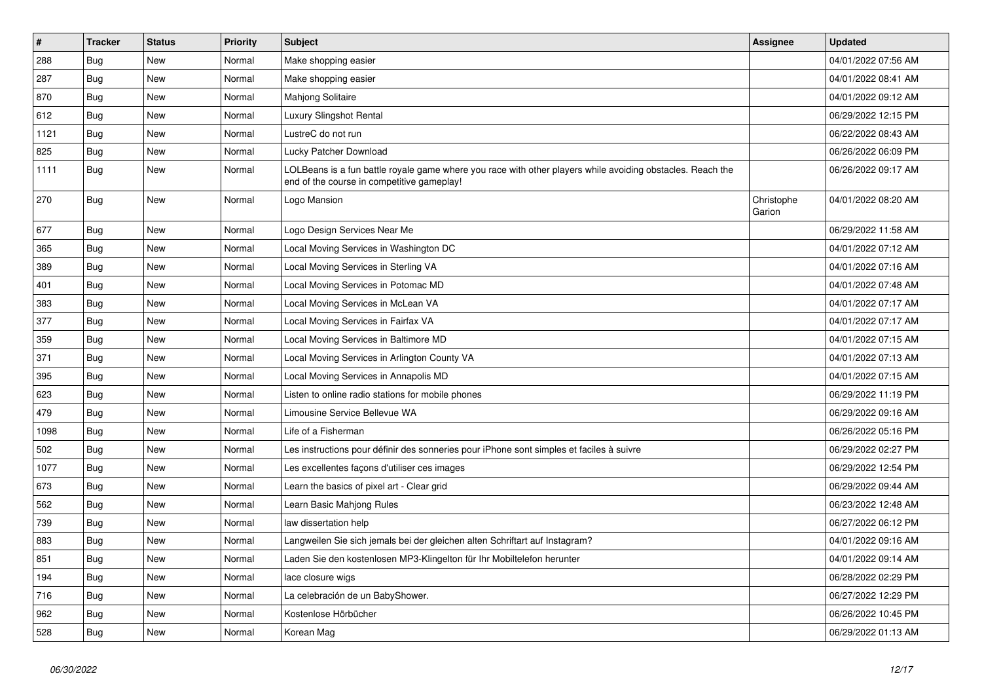| $\vert$ # | <b>Tracker</b> | <b>Status</b> | <b>Priority</b> | <b>Subject</b>                                                                                                                                           | <b>Assignee</b>      | <b>Updated</b>      |
|-----------|----------------|---------------|-----------------|----------------------------------------------------------------------------------------------------------------------------------------------------------|----------------------|---------------------|
| 288       | Bug            | <b>New</b>    | Normal          | Make shopping easier                                                                                                                                     |                      | 04/01/2022 07:56 AM |
| 287       | Bug            | <b>New</b>    | Normal          | Make shopping easier                                                                                                                                     |                      | 04/01/2022 08:41 AM |
| 870       | Bug            | New           | Normal          | <b>Mahjong Solitaire</b>                                                                                                                                 |                      | 04/01/2022 09:12 AM |
| 612       | Bug            | New           | Normal          | Luxury Slingshot Rental                                                                                                                                  |                      | 06/29/2022 12:15 PM |
| 1121      | Bug            | New           | Normal          | LustreC do not run                                                                                                                                       |                      | 06/22/2022 08:43 AM |
| 825       | <b>Bug</b>     | <b>New</b>    | Normal          | Lucky Patcher Download                                                                                                                                   |                      | 06/26/2022 06:09 PM |
| 1111      | <b>Bug</b>     | <b>New</b>    | Normal          | LOLBeans is a fun battle royale game where you race with other players while avoiding obstacles. Reach the<br>end of the course in competitive gameplay! |                      | 06/26/2022 09:17 AM |
| 270       | <b>Bug</b>     | <b>New</b>    | Normal          | Logo Mansion                                                                                                                                             | Christophe<br>Garion | 04/01/2022 08:20 AM |
| 677       | Bug            | <b>New</b>    | Normal          | Logo Design Services Near Me                                                                                                                             |                      | 06/29/2022 11:58 AM |
| 365       | Bug            | New           | Normal          | Local Moving Services in Washington DC                                                                                                                   |                      | 04/01/2022 07:12 AM |
| 389       | Bug            | New           | Normal          | Local Moving Services in Sterling VA                                                                                                                     |                      | 04/01/2022 07:16 AM |
| 401       | Bug            | <b>New</b>    | Normal          | Local Moving Services in Potomac MD                                                                                                                      |                      | 04/01/2022 07:48 AM |
| 383       | <b>Bug</b>     | <b>New</b>    | Normal          | Local Moving Services in McLean VA                                                                                                                       |                      | 04/01/2022 07:17 AM |
| 377       | <b>Bug</b>     | <b>New</b>    | Normal          | Local Moving Services in Fairfax VA                                                                                                                      |                      | 04/01/2022 07:17 AM |
| 359       | Bug            | <b>New</b>    | Normal          | Local Moving Services in Baltimore MD                                                                                                                    |                      | 04/01/2022 07:15 AM |
| 371       | Bug            | <b>New</b>    | Normal          | Local Moving Services in Arlington County VA                                                                                                             |                      | 04/01/2022 07:13 AM |
| 395       | Bug            | <b>New</b>    | Normal          | Local Moving Services in Annapolis MD                                                                                                                    |                      | 04/01/2022 07:15 AM |
| 623       | Bug            | <b>New</b>    | Normal          | Listen to online radio stations for mobile phones                                                                                                        |                      | 06/29/2022 11:19 PM |
| 479       | Bug            | New           | Normal          | Limousine Service Bellevue WA                                                                                                                            |                      | 06/29/2022 09:16 AM |
| 1098      | Bug            | <b>New</b>    | Normal          | Life of a Fisherman                                                                                                                                      |                      | 06/26/2022 05:16 PM |
| 502       | <b>Bug</b>     | <b>New</b>    | Normal          | Les instructions pour définir des sonneries pour iPhone sont simples et faciles à suivre                                                                 |                      | 06/29/2022 02:27 PM |
| 1077      | Bug            | <b>New</b>    | Normal          | Les excellentes façons d'utiliser ces images                                                                                                             |                      | 06/29/2022 12:54 PM |
| 673       | Bug            | <b>New</b>    | Normal          | Learn the basics of pixel art - Clear grid                                                                                                               |                      | 06/29/2022 09:44 AM |
| 562       | Bug            | <b>New</b>    | Normal          | Learn Basic Mahjong Rules                                                                                                                                |                      | 06/23/2022 12:48 AM |
| 739       | Bug            | New           | Normal          | law dissertation help                                                                                                                                    |                      | 06/27/2022 06:12 PM |
| 883       | Bug            | <b>New</b>    | Normal          | Langweilen Sie sich jemals bei der gleichen alten Schriftart auf Instagram?                                                                              |                      | 04/01/2022 09:16 AM |
| 851       | Bug            | New           | Normal          | Laden Sie den kostenlosen MP3-Klingelton für Ihr Mobiltelefon herunter                                                                                   |                      | 04/01/2022 09:14 AM |
| 194       | Bug            | New           | Normal          | lace closure wigs                                                                                                                                        |                      | 06/28/2022 02:29 PM |
| 716       | Bug            | New           | Normal          | La celebración de un BabyShower.                                                                                                                         |                      | 06/27/2022 12:29 PM |
| 962       | Bug            | <b>New</b>    | Normal          | Kostenlose Hörbücher                                                                                                                                     |                      | 06/26/2022 10:45 PM |
| 528       | Bug            | <b>New</b>    | Normal          | Korean Mag                                                                                                                                               |                      | 06/29/2022 01:13 AM |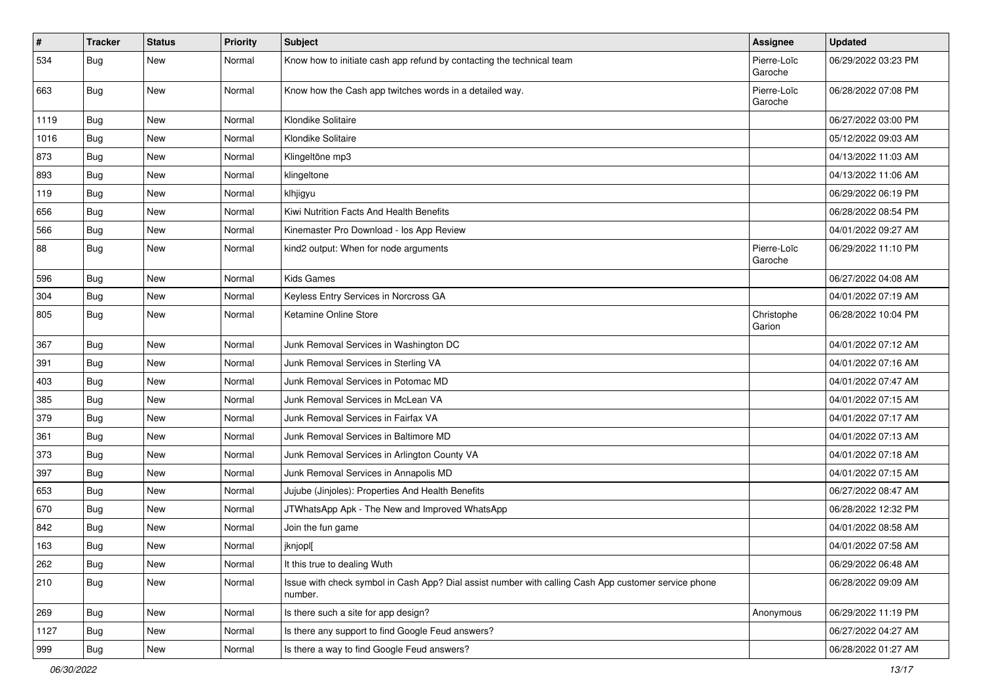| $\vert$ # | <b>Tracker</b> | <b>Status</b> | <b>Priority</b> | <b>Subject</b>                                                                                                  | Assignee               | <b>Updated</b>      |
|-----------|----------------|---------------|-----------------|-----------------------------------------------------------------------------------------------------------------|------------------------|---------------------|
| 534       | <b>Bug</b>     | New           | Normal          | Know how to initiate cash app refund by contacting the technical team                                           | Pierre-Loïc<br>Garoche | 06/29/2022 03:23 PM |
| 663       | Bug            | <b>New</b>    | Normal          | Know how the Cash app twitches words in a detailed way.                                                         | Pierre-Loïc<br>Garoche | 06/28/2022 07:08 PM |
| 1119      | Bug            | <b>New</b>    | Normal          | Klondike Solitaire                                                                                              |                        | 06/27/2022 03:00 PM |
| 1016      | Bug            | New           | Normal          | Klondike Solitaire                                                                                              |                        | 05/12/2022 09:03 AM |
| 873       | Bug            | <b>New</b>    | Normal          | Klingeltöne mp3                                                                                                 |                        | 04/13/2022 11:03 AM |
| 893       | Bug            | <b>New</b>    | Normal          | klingeltone                                                                                                     |                        | 04/13/2022 11:06 AM |
| 119       | Bug            | <b>New</b>    | Normal          | klhjigyu                                                                                                        |                        | 06/29/2022 06:19 PM |
| 656       | Bug            | <b>New</b>    | Normal          | Kiwi Nutrition Facts And Health Benefits                                                                        |                        | 06/28/2022 08:54 PM |
| 566       | <b>Bug</b>     | New           | Normal          | Kinemaster Pro Download - los App Review                                                                        |                        | 04/01/2022 09:27 AM |
| 88        | <b>Bug</b>     | New           | Normal          | kind2 output: When for node arguments                                                                           | Pierre-Loïc<br>Garoche | 06/29/2022 11:10 PM |
| 596       | Bug            | <b>New</b>    | Normal          | Kids Games                                                                                                      |                        | 06/27/2022 04:08 AM |
| 304       | Bug            | <b>New</b>    | Normal          | Keyless Entry Services in Norcross GA                                                                           |                        | 04/01/2022 07:19 AM |
| 805       | <b>Bug</b>     | New           | Normal          | Ketamine Online Store                                                                                           | Christophe<br>Garion   | 06/28/2022 10:04 PM |
| 367       | Bug            | New           | Normal          | Junk Removal Services in Washington DC                                                                          |                        | 04/01/2022 07:12 AM |
| 391       | Bug            | New           | Normal          | Junk Removal Services in Sterling VA                                                                            |                        | 04/01/2022 07:16 AM |
| 403       | Bug            | New           | Normal          | Junk Removal Services in Potomac MD                                                                             |                        | 04/01/2022 07:47 AM |
| 385       | Bug            | <b>New</b>    | Normal          | Junk Removal Services in McLean VA                                                                              |                        | 04/01/2022 07:15 AM |
| 379       | <b>Bug</b>     | <b>New</b>    | Normal          | Junk Removal Services in Fairfax VA                                                                             |                        | 04/01/2022 07:17 AM |
| 361       | Bug            | <b>New</b>    | Normal          | Junk Removal Services in Baltimore MD                                                                           |                        | 04/01/2022 07:13 AM |
| 373       | <b>Bug</b>     | New           | Normal          | Junk Removal Services in Arlington County VA                                                                    |                        | 04/01/2022 07:18 AM |
| 397       | Bug            | <b>New</b>    | Normal          | Junk Removal Services in Annapolis MD                                                                           |                        | 04/01/2022 07:15 AM |
| 653       | Bug            | <b>New</b>    | Normal          | Jujube (Jinjoles): Properties And Health Benefits                                                               |                        | 06/27/2022 08:47 AM |
| 670       | Bug            | <b>New</b>    | Normal          | JTWhatsApp Apk - The New and Improved WhatsApp                                                                  |                        | 06/28/2022 12:32 PM |
| 842       | <b>Bug</b>     | New           | Normal          | Join the fun game                                                                                               |                        | 04/01/2022 08:58 AM |
| 163       | <b>Bug</b>     | New           | Normal          | jknjopl[                                                                                                        |                        | 04/01/2022 07:58 AM |
| 262       | <b>Bug</b>     | New           | Normal          | It this true to dealing Wuth                                                                                    |                        | 06/29/2022 06:48 AM |
| 210       | <b>Bug</b>     | New           | Normal          | Issue with check symbol in Cash App? Dial assist number with calling Cash App customer service phone<br>number. |                        | 06/28/2022 09:09 AM |
| 269       | <b>Bug</b>     | <b>New</b>    | Normal          | Is there such a site for app design?                                                                            | Anonymous              | 06/29/2022 11:19 PM |
| 1127      | <b>Bug</b>     | New           | Normal          | Is there any support to find Google Feud answers?                                                               |                        | 06/27/2022 04:27 AM |
| 999       | i Bug          | New           | Normal          | Is there a way to find Google Feud answers?                                                                     |                        | 06/28/2022 01:27 AM |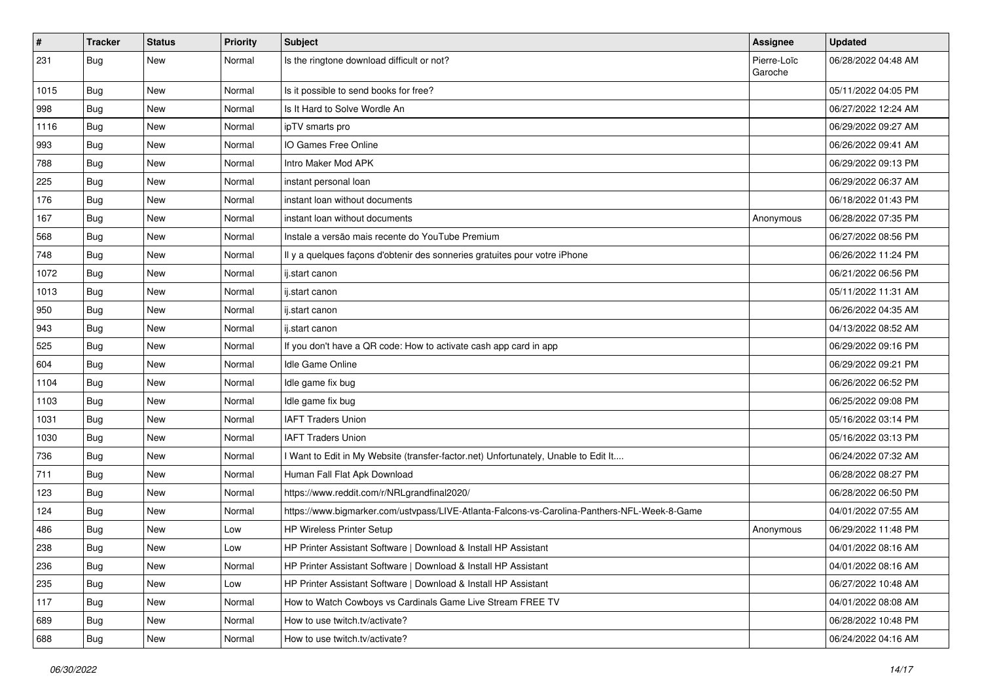| $\#$ | <b>Tracker</b> | <b>Status</b> | <b>Priority</b> | Subject                                                                                      | Assignee               | <b>Updated</b>      |
|------|----------------|---------------|-----------------|----------------------------------------------------------------------------------------------|------------------------|---------------------|
| 231  | Bug            | <b>New</b>    | Normal          | Is the ringtone download difficult or not?                                                   | Pierre-Loïc<br>Garoche | 06/28/2022 04:48 AM |
| 1015 | Bug            | <b>New</b>    | Normal          | Is it possible to send books for free?                                                       |                        | 05/11/2022 04:05 PM |
| 998  | Bug            | <b>New</b>    | Normal          | Is It Hard to Solve Wordle An                                                                |                        | 06/27/2022 12:24 AM |
| 1116 | Bug            | <b>New</b>    | Normal          | ipTV smarts pro                                                                              |                        | 06/29/2022 09:27 AM |
| 993  | <b>Bug</b>     | <b>New</b>    | Normal          | IO Games Free Online                                                                         |                        | 06/26/2022 09:41 AM |
| 788  | <b>Bug</b>     | <b>New</b>    | Normal          | Intro Maker Mod APK                                                                          |                        | 06/29/2022 09:13 PM |
| 225  | <b>Bug</b>     | New           | Normal          | instant personal loan                                                                        |                        | 06/29/2022 06:37 AM |
| 176  | <b>Bug</b>     | <b>New</b>    | Normal          | instant loan without documents                                                               |                        | 06/18/2022 01:43 PM |
| 167  | Bug            | <b>New</b>    | Normal          | instant loan without documents                                                               | Anonymous              | 06/28/2022 07:35 PM |
| 568  | <b>Bug</b>     | <b>New</b>    | Normal          | Instale a versão mais recente do YouTube Premium                                             |                        | 06/27/2022 08:56 PM |
| 748  | Bug            | <b>New</b>    | Normal          | Il y a quelques façons d'obtenir des sonneries gratuites pour votre iPhone                   |                        | 06/26/2022 11:24 PM |
| 1072 | Bug            | <b>New</b>    | Normal          | ii.start canon                                                                               |                        | 06/21/2022 06:56 PM |
| 1013 | <b>Bug</b>     | <b>New</b>    | Normal          | ij.start canon                                                                               |                        | 05/11/2022 11:31 AM |
| 950  | Bug            | <b>New</b>    | Normal          | ii.start canon                                                                               |                        | 06/26/2022 04:35 AM |
| 943  | Bug            | New           | Normal          | ii.start canon                                                                               |                        | 04/13/2022 08:52 AM |
| 525  | Bug            | <b>New</b>    | Normal          | If you don't have a QR code: How to activate cash app card in app                            |                        | 06/29/2022 09:16 PM |
| 604  | Bug            | <b>New</b>    | Normal          | Idle Game Online                                                                             |                        | 06/29/2022 09:21 PM |
| 1104 | Bug            | <b>New</b>    | Normal          | Idle game fix bug                                                                            |                        | 06/26/2022 06:52 PM |
| 1103 | <b>Bug</b>     | <b>New</b>    | Normal          | Idle game fix bug                                                                            |                        | 06/25/2022 09:08 PM |
| 1031 | Bug            | New           | Normal          | <b>IAFT Traders Union</b>                                                                    |                        | 05/16/2022 03:14 PM |
| 1030 | <b>Bug</b>     | <b>New</b>    | Normal          | <b>IAFT Traders Union</b>                                                                    |                        | 05/16/2022 03:13 PM |
| 736  | Bug            | <b>New</b>    | Normal          | I Want to Edit in My Website (transfer-factor.net) Unfortunately, Unable to Edit It          |                        | 06/24/2022 07:32 AM |
| 711  | <b>Bug</b>     | <b>New</b>    | Normal          | Human Fall Flat Apk Download                                                                 |                        | 06/28/2022 08:27 PM |
| 123  | <b>Bug</b>     | <b>New</b>    | Normal          | https://www.reddit.com/r/NRLgrandfinal2020/                                                  |                        | 06/28/2022 06:50 PM |
| 124  | <b>Bug</b>     | New           | Normal          | https://www.bigmarker.com/ustvpass/LIVE-Atlanta-Falcons-vs-Carolina-Panthers-NFL-Week-8-Game |                        | 04/01/2022 07:55 AM |
| 486  | <b>Bug</b>     | <b>New</b>    | Low             | <b>HP Wireless Printer Setup</b>                                                             | Anonymous              | 06/29/2022 11:48 PM |
| 238  | <b>Bug</b>     | <b>New</b>    | Low             | HP Printer Assistant Software   Download & Install HP Assistant                              |                        | 04/01/2022 08:16 AM |
| 236  | Bug            | New           | Normal          | HP Printer Assistant Software   Download & Install HP Assistant                              |                        | 04/01/2022 08:16 AM |
| 235  | Bug            | New           | Low             | HP Printer Assistant Software   Download & Install HP Assistant                              |                        | 06/27/2022 10:48 AM |
| 117  | Bug            | New           | Normal          | How to Watch Cowboys vs Cardinals Game Live Stream FREE TV                                   |                        | 04/01/2022 08:08 AM |
| 689  | <b>Bug</b>     | New           | Normal          | How to use twitch.tv/activate?                                                               |                        | 06/28/2022 10:48 PM |
| 688  | <b>Bug</b>     | New           | Normal          | How to use twitch.tv/activate?                                                               |                        | 06/24/2022 04:16 AM |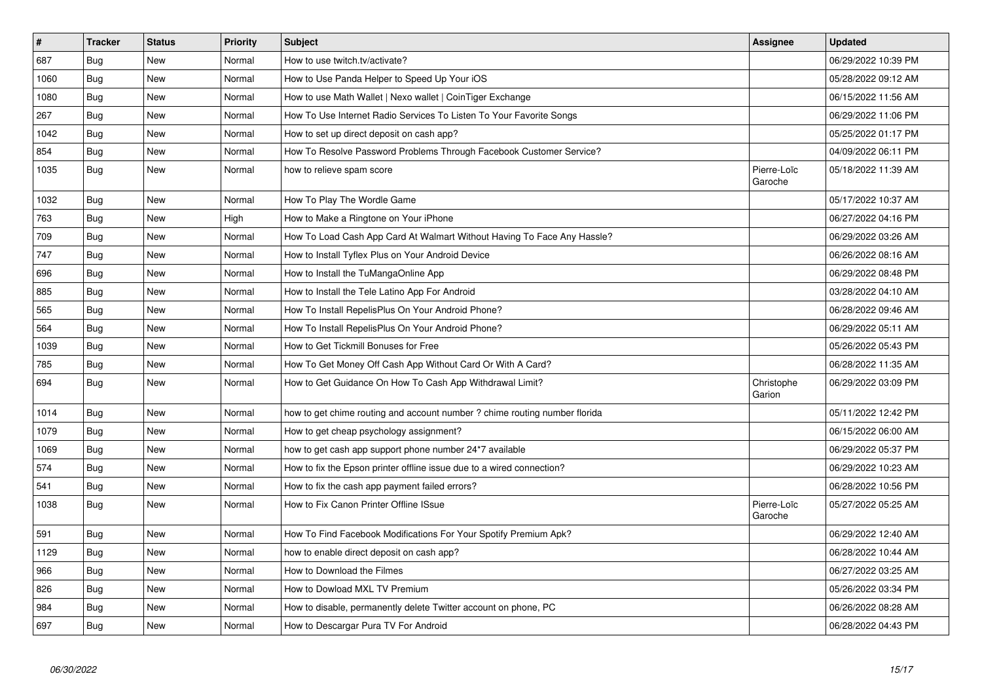| $\vert$ # | <b>Tracker</b> | <b>Status</b> | <b>Priority</b> | <b>Subject</b>                                                            | <b>Assignee</b>        | <b>Updated</b>      |
|-----------|----------------|---------------|-----------------|---------------------------------------------------------------------------|------------------------|---------------------|
| 687       | Bug            | New           | Normal          | How to use twitch.tv/activate?                                            |                        | 06/29/2022 10:39 PM |
| 1060      | Bug            | <b>New</b>    | Normal          | How to Use Panda Helper to Speed Up Your iOS                              |                        | 05/28/2022 09:12 AM |
| 1080      | Bug            | New           | Normal          | How to use Math Wallet   Nexo wallet   CoinTiger Exchange                 |                        | 06/15/2022 11:56 AM |
| 267       | Bug            | <b>New</b>    | Normal          | How To Use Internet Radio Services To Listen To Your Favorite Songs       |                        | 06/29/2022 11:06 PM |
| 1042      | Bug            | <b>New</b>    | Normal          | How to set up direct deposit on cash app?                                 |                        | 05/25/2022 01:17 PM |
| 854       | <b>Bug</b>     | <b>New</b>    | Normal          | How To Resolve Password Problems Through Facebook Customer Service?       |                        | 04/09/2022 06:11 PM |
| 1035      | <b>Bug</b>     | New           | Normal          | how to relieve spam score                                                 | Pierre-Loïc<br>Garoche | 05/18/2022 11:39 AM |
| 1032      | Bug            | <b>New</b>    | Normal          | How To Play The Wordle Game                                               |                        | 05/17/2022 10:37 AM |
| 763       | <b>Bug</b>     | New           | High            | How to Make a Ringtone on Your iPhone                                     |                        | 06/27/2022 04:16 PM |
| 709       | Bug            | New           | Normal          | How To Load Cash App Card At Walmart Without Having To Face Any Hassle?   |                        | 06/29/2022 03:26 AM |
| 747       | Bug            | <b>New</b>    | Normal          | How to Install Tyflex Plus on Your Android Device                         |                        | 06/26/2022 08:16 AM |
| 696       | Bug            | <b>New</b>    | Normal          | How to Install the TuMangaOnline App                                      |                        | 06/29/2022 08:48 PM |
| 885       | Bug            | New           | Normal          | How to Install the Tele Latino App For Android                            |                        | 03/28/2022 04:10 AM |
| 565       | <b>Bug</b>     | <b>New</b>    | Normal          | How To Install RepelisPlus On Your Android Phone?                         |                        | 06/28/2022 09:46 AM |
| 564       | Bug            | New           | Normal          | How To Install RepelisPlus On Your Android Phone?                         |                        | 06/29/2022 05:11 AM |
| 1039      | <b>Bug</b>     | <b>New</b>    | Normal          | How to Get Tickmill Bonuses for Free                                      |                        | 05/26/2022 05:43 PM |
| 785       | Bug            | New           | Normal          | How To Get Money Off Cash App Without Card Or With A Card?                |                        | 06/28/2022 11:35 AM |
| 694       | Bug            | New           | Normal          | How to Get Guidance On How To Cash App Withdrawal Limit?                  | Christophe<br>Garion   | 06/29/2022 03:09 PM |
| 1014      | Bug            | New           | Normal          | how to get chime routing and account number? chime routing number florida |                        | 05/11/2022 12:42 PM |
| 1079      | <b>Bug</b>     | New           | Normal          | How to get cheap psychology assignment?                                   |                        | 06/15/2022 06:00 AM |
| 1069      | Bug            | New           | Normal          | how to get cash app support phone number 24*7 available                   |                        | 06/29/2022 05:37 PM |
| 574       | Bug            | <b>New</b>    | Normal          | How to fix the Epson printer offline issue due to a wired connection?     |                        | 06/29/2022 10:23 AM |
| 541       | <b>Bug</b>     | New           | Normal          | How to fix the cash app payment failed errors?                            |                        | 06/28/2022 10:56 PM |
| 1038      | <b>Bug</b>     | New           | Normal          | How to Fix Canon Printer Offline ISsue                                    | Pierre-Loïc<br>Garoche | 05/27/2022 05:25 AM |
| 591       | <b>Bug</b>     | <b>New</b>    | Normal          | How To Find Facebook Modifications For Your Spotify Premium Apk?          |                        | 06/29/2022 12:40 AM |
| 1129      | Bug            | New           | Normal          | how to enable direct deposit on cash app?                                 |                        | 06/28/2022 10:44 AM |
| 966       | Bug            | <b>New</b>    | Normal          | How to Download the Filmes                                                |                        | 06/27/2022 03:25 AM |
| 826       | <b>Bug</b>     | New           | Normal          | How to Dowload MXL TV Premium                                             |                        | 05/26/2022 03:34 PM |
| 984       | Bug            | New           | Normal          | How to disable, permanently delete Twitter account on phone, PC           |                        | 06/26/2022 08:28 AM |
| 697       | Bug            | New           | Normal          | How to Descargar Pura TV For Android                                      |                        | 06/28/2022 04:43 PM |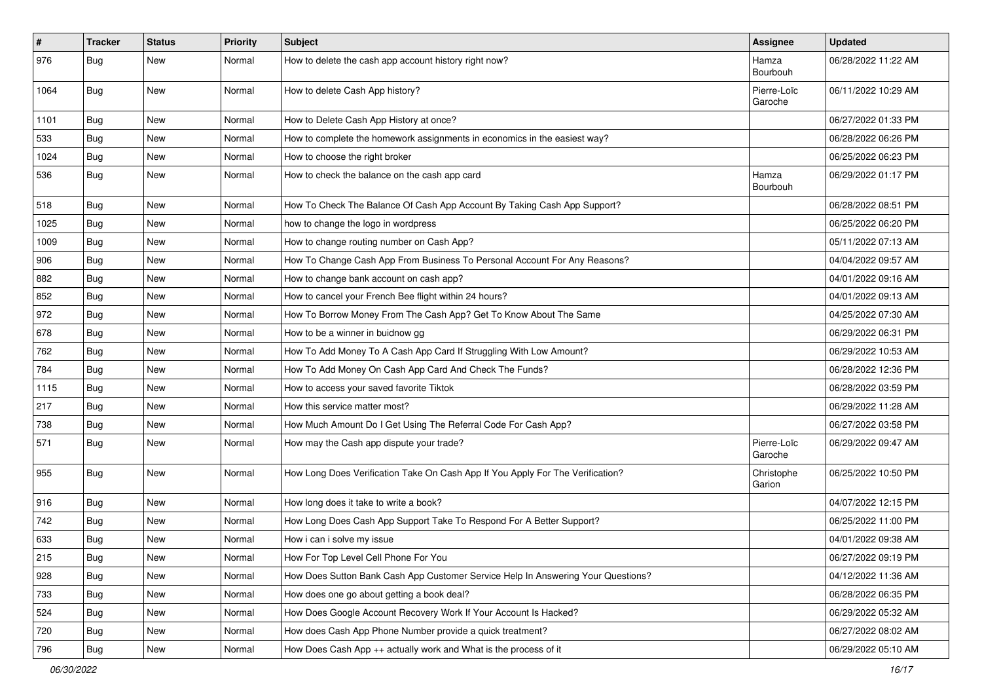| $\pmb{\#}$ | <b>Tracker</b> | <b>Status</b> | <b>Priority</b> | Subject                                                                          | <b>Assignee</b>        | <b>Updated</b>      |
|------------|----------------|---------------|-----------------|----------------------------------------------------------------------------------|------------------------|---------------------|
| 976        | <b>Bug</b>     | New           | Normal          | How to delete the cash app account history right now?                            | Hamza<br>Bourbouh      | 06/28/2022 11:22 AM |
| 1064       | Bug            | New           | Normal          | How to delete Cash App history?                                                  | Pierre-Loïc<br>Garoche | 06/11/2022 10:29 AM |
| 1101       | Bug            | <b>New</b>    | Normal          | How to Delete Cash App History at once?                                          |                        | 06/27/2022 01:33 PM |
| 533        | <b>Bug</b>     | New           | Normal          | How to complete the homework assignments in economics in the easiest way?        |                        | 06/28/2022 06:26 PM |
| 1024       | <b>Bug</b>     | New           | Normal          | How to choose the right broker                                                   |                        | 06/25/2022 06:23 PM |
| 536        | Bug            | New           | Normal          | How to check the balance on the cash app card                                    | Hamza<br>Bourbouh      | 06/29/2022 01:17 PM |
| 518        | <b>Bug</b>     | <b>New</b>    | Normal          | How To Check The Balance Of Cash App Account By Taking Cash App Support?         |                        | 06/28/2022 08:51 PM |
| 1025       | <b>Bug</b>     | New           | Normal          | how to change the logo in wordpress                                              |                        | 06/25/2022 06:20 PM |
| 1009       | Bug            | New           | Normal          | How to change routing number on Cash App?                                        |                        | 05/11/2022 07:13 AM |
| 906        | <b>Bug</b>     | <b>New</b>    | Normal          | How To Change Cash App From Business To Personal Account For Any Reasons?        |                        | 04/04/2022 09:57 AM |
| 882        | Bug            | New           | Normal          | How to change bank account on cash app?                                          |                        | 04/01/2022 09:16 AM |
| 852        | <b>Bug</b>     | New           | Normal          | How to cancel your French Bee flight within 24 hours?                            |                        | 04/01/2022 09:13 AM |
| 972        | <b>Bug</b>     | New           | Normal          | How To Borrow Money From The Cash App? Get To Know About The Same                |                        | 04/25/2022 07:30 AM |
| 678        | Bug            | New           | Normal          | How to be a winner in buidnow gg                                                 |                        | 06/29/2022 06:31 PM |
| 762        | Bug            | New           | Normal          | How To Add Money To A Cash App Card If Struggling With Low Amount?               |                        | 06/29/2022 10:53 AM |
| 784        | <b>Bug</b>     | New           | Normal          | How To Add Money On Cash App Card And Check The Funds?                           |                        | 06/28/2022 12:36 PM |
| 1115       | <b>Bug</b>     | New           | Normal          | How to access your saved favorite Tiktok                                         |                        | 06/28/2022 03:59 PM |
| 217        | <b>Bug</b>     | New           | Normal          | How this service matter most?                                                    |                        | 06/29/2022 11:28 AM |
| 738        | <b>Bug</b>     | New           | Normal          | How Much Amount Do I Get Using The Referral Code For Cash App?                   |                        | 06/27/2022 03:58 PM |
| 571        | <b>Bug</b>     | New           | Normal          | How may the Cash app dispute your trade?                                         | Pierre-Loïc<br>Garoche | 06/29/2022 09:47 AM |
| 955        | Bug            | New           | Normal          | How Long Does Verification Take On Cash App If You Apply For The Verification?   | Christophe<br>Garion   | 06/25/2022 10:50 PM |
| 916        | <b>Bug</b>     | New           | Normal          | How long does it take to write a book?                                           |                        | 04/07/2022 12:15 PM |
| 742        | <b>Bug</b>     | New           | Normal          | How Long Does Cash App Support Take To Respond For A Better Support?             |                        | 06/25/2022 11:00 PM |
| 633        | <b>Bug</b>     | New           | Normal          | How i can i solve my issue                                                       |                        | 04/01/2022 09:38 AM |
| 215        | <b>Bug</b>     | New           | Normal          | How For Top Level Cell Phone For You                                             |                        | 06/27/2022 09:19 PM |
| 928        | <b>Bug</b>     | New           | Normal          | How Does Sutton Bank Cash App Customer Service Help In Answering Your Questions? |                        | 04/12/2022 11:36 AM |
| 733        | <b>Bug</b>     | New           | Normal          | How does one go about getting a book deal?                                       |                        | 06/28/2022 06:35 PM |
| 524        | Bug            | New           | Normal          | How Does Google Account Recovery Work If Your Account Is Hacked?                 |                        | 06/29/2022 05:32 AM |
| 720        | <b>Bug</b>     | New           | Normal          | How does Cash App Phone Number provide a quick treatment?                        |                        | 06/27/2022 08:02 AM |
| 796        | Bug            | New           | Normal          | How Does Cash App ++ actually work and What is the process of it                 |                        | 06/29/2022 05:10 AM |